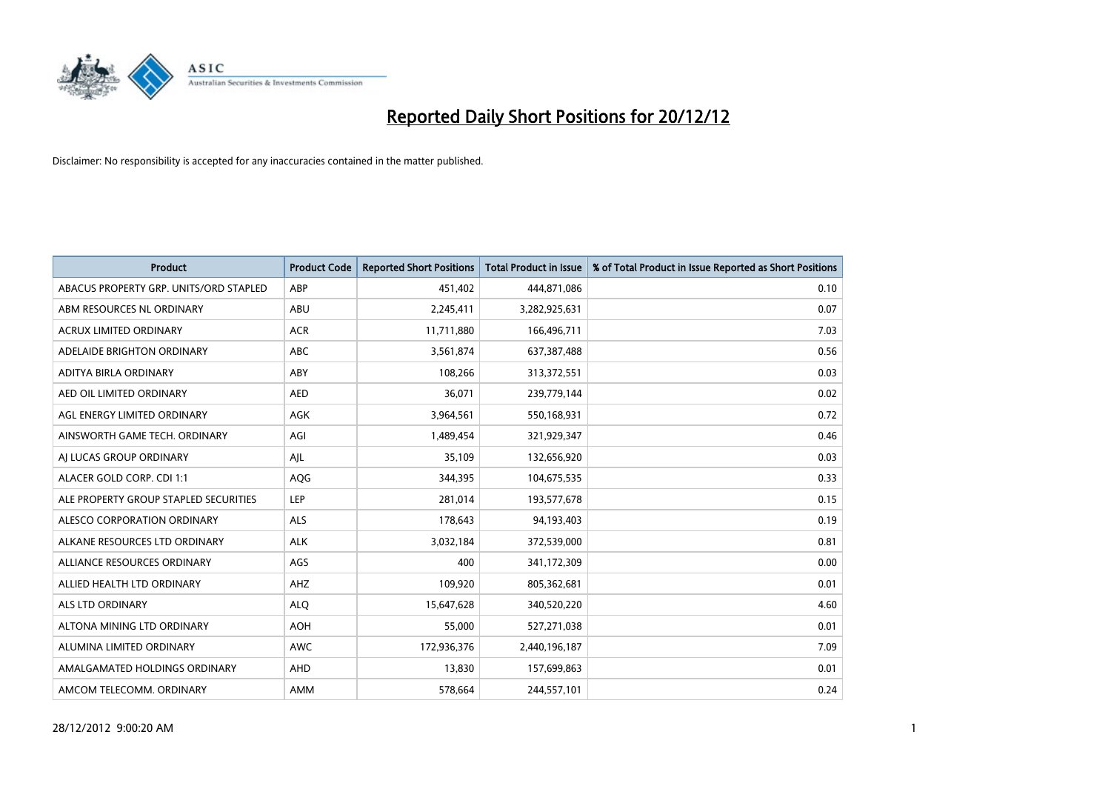

| <b>Product</b>                         | <b>Product Code</b> | <b>Reported Short Positions</b> | <b>Total Product in Issue</b> | % of Total Product in Issue Reported as Short Positions |
|----------------------------------------|---------------------|---------------------------------|-------------------------------|---------------------------------------------------------|
| ABACUS PROPERTY GRP. UNITS/ORD STAPLED | ABP                 | 451,402                         | 444,871,086                   | 0.10                                                    |
| ABM RESOURCES NL ORDINARY              | ABU                 | 2,245,411                       | 3,282,925,631                 | 0.07                                                    |
| <b>ACRUX LIMITED ORDINARY</b>          | <b>ACR</b>          | 11,711,880                      | 166,496,711                   | 7.03                                                    |
| ADELAIDE BRIGHTON ORDINARY             | <b>ABC</b>          | 3,561,874                       | 637, 387, 488                 | 0.56                                                    |
| ADITYA BIRLA ORDINARY                  | ABY                 | 108.266                         | 313,372,551                   | 0.03                                                    |
| AED OIL LIMITED ORDINARY               | <b>AED</b>          | 36,071                          | 239,779,144                   | 0.02                                                    |
| AGL ENERGY LIMITED ORDINARY            | <b>AGK</b>          | 3,964,561                       | 550,168,931                   | 0.72                                                    |
| AINSWORTH GAME TECH, ORDINARY          | AGI                 | 1,489,454                       | 321,929,347                   | 0.46                                                    |
| AJ LUCAS GROUP ORDINARY                | AJL                 | 35,109                          | 132,656,920                   | 0.03                                                    |
| ALACER GOLD CORP. CDI 1:1              | AQG                 | 344,395                         | 104,675,535                   | 0.33                                                    |
| ALE PROPERTY GROUP STAPLED SECURITIES  | LEP                 | 281,014                         | 193,577,678                   | 0.15                                                    |
| ALESCO CORPORATION ORDINARY            | <b>ALS</b>          | 178,643                         | 94,193,403                    | 0.19                                                    |
| ALKANE RESOURCES LTD ORDINARY          | <b>ALK</b>          | 3,032,184                       | 372,539,000                   | 0.81                                                    |
| ALLIANCE RESOURCES ORDINARY            | AGS                 | 400                             | 341,172,309                   | 0.00                                                    |
| ALLIED HEALTH LTD ORDINARY             | AHZ                 | 109,920                         | 805,362,681                   | 0.01                                                    |
| <b>ALS LTD ORDINARY</b>                | <b>ALO</b>          | 15,647,628                      | 340,520,220                   | 4.60                                                    |
| ALTONA MINING LTD ORDINARY             | <b>AOH</b>          | 55,000                          | 527,271,038                   | 0.01                                                    |
| ALUMINA LIMITED ORDINARY               | <b>AWC</b>          | 172,936,376                     | 2,440,196,187                 | 7.09                                                    |
| AMALGAMATED HOLDINGS ORDINARY          | <b>AHD</b>          | 13,830                          | 157,699,863                   | 0.01                                                    |
| AMCOM TELECOMM, ORDINARY               | <b>AMM</b>          | 578.664                         | 244,557,101                   | 0.24                                                    |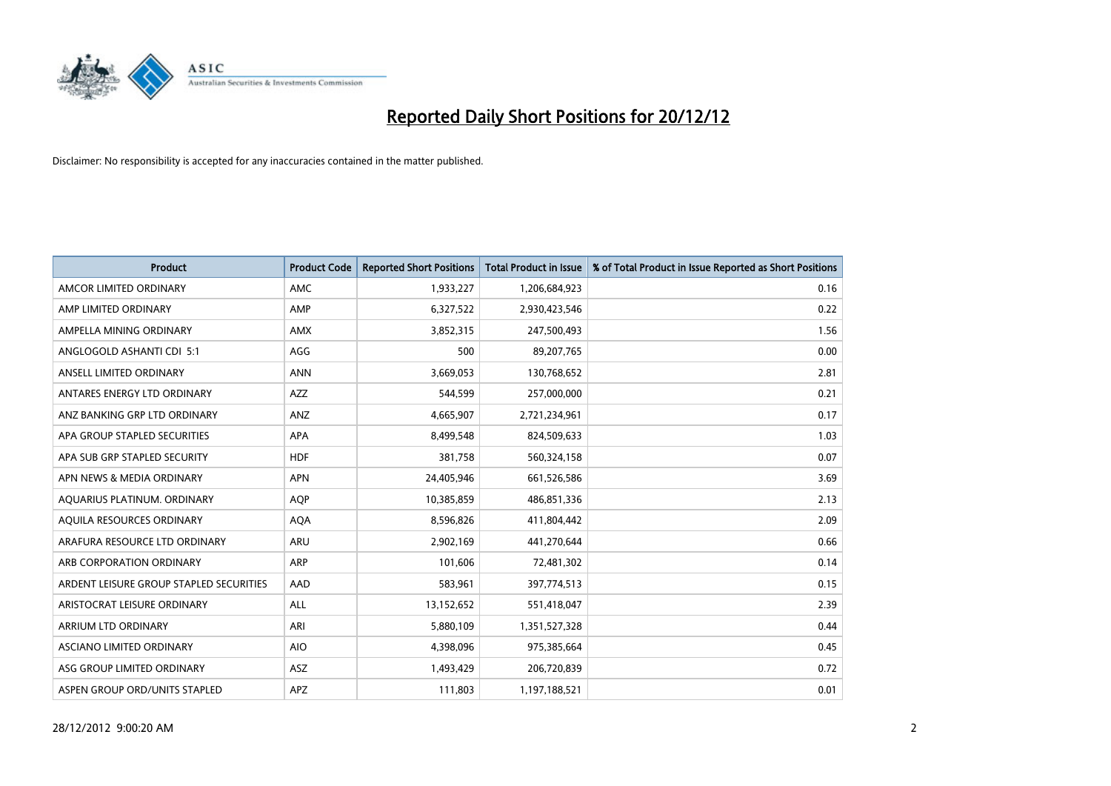

| <b>Product</b>                          | <b>Product Code</b> | <b>Reported Short Positions</b> | <b>Total Product in Issue</b> | % of Total Product in Issue Reported as Short Positions |
|-----------------------------------------|---------------------|---------------------------------|-------------------------------|---------------------------------------------------------|
| AMCOR LIMITED ORDINARY                  | <b>AMC</b>          | 1,933,227                       | 1,206,684,923                 | 0.16                                                    |
| AMP LIMITED ORDINARY                    | AMP                 | 6,327,522                       | 2,930,423,546                 | 0.22                                                    |
| AMPELLA MINING ORDINARY                 | <b>AMX</b>          | 3,852,315                       | 247,500,493                   | 1.56                                                    |
| ANGLOGOLD ASHANTI CDI 5:1               | AGG                 | 500                             | 89,207,765                    | 0.00                                                    |
| ANSELL LIMITED ORDINARY                 | <b>ANN</b>          | 3,669,053                       | 130,768,652                   | 2.81                                                    |
| ANTARES ENERGY LTD ORDINARY             | <b>AZZ</b>          | 544,599                         | 257,000,000                   | 0.21                                                    |
| ANZ BANKING GRP LTD ORDINARY            | ANZ                 | 4,665,907                       | 2,721,234,961                 | 0.17                                                    |
| APA GROUP STAPLED SECURITIES            | <b>APA</b>          | 8,499,548                       | 824,509,633                   | 1.03                                                    |
| APA SUB GRP STAPLED SECURITY            | <b>HDF</b>          | 381,758                         | 560,324,158                   | 0.07                                                    |
| APN NEWS & MEDIA ORDINARY               | <b>APN</b>          | 24,405,946                      | 661,526,586                   | 3.69                                                    |
| AQUARIUS PLATINUM. ORDINARY             | <b>AOP</b>          | 10,385,859                      | 486,851,336                   | 2.13                                                    |
| AQUILA RESOURCES ORDINARY               | <b>AQA</b>          | 8,596,826                       | 411,804,442                   | 2.09                                                    |
| ARAFURA RESOURCE LTD ORDINARY           | <b>ARU</b>          | 2,902,169                       | 441,270,644                   | 0.66                                                    |
| ARB CORPORATION ORDINARY                | <b>ARP</b>          | 101,606                         | 72,481,302                    | 0.14                                                    |
| ARDENT LEISURE GROUP STAPLED SECURITIES | AAD                 | 583,961                         | 397,774,513                   | 0.15                                                    |
| ARISTOCRAT LEISURE ORDINARY             | <b>ALL</b>          | 13,152,652                      | 551,418,047                   | 2.39                                                    |
| ARRIUM LTD ORDINARY                     | ARI                 | 5,880,109                       | 1,351,527,328                 | 0.44                                                    |
| ASCIANO LIMITED ORDINARY                | <b>AIO</b>          | 4,398,096                       | 975,385,664                   | 0.45                                                    |
| ASG GROUP LIMITED ORDINARY              | <b>ASZ</b>          | 1,493,429                       | 206,720,839                   | 0.72                                                    |
| ASPEN GROUP ORD/UNITS STAPLED           | <b>APZ</b>          | 111,803                         | 1,197,188,521                 | 0.01                                                    |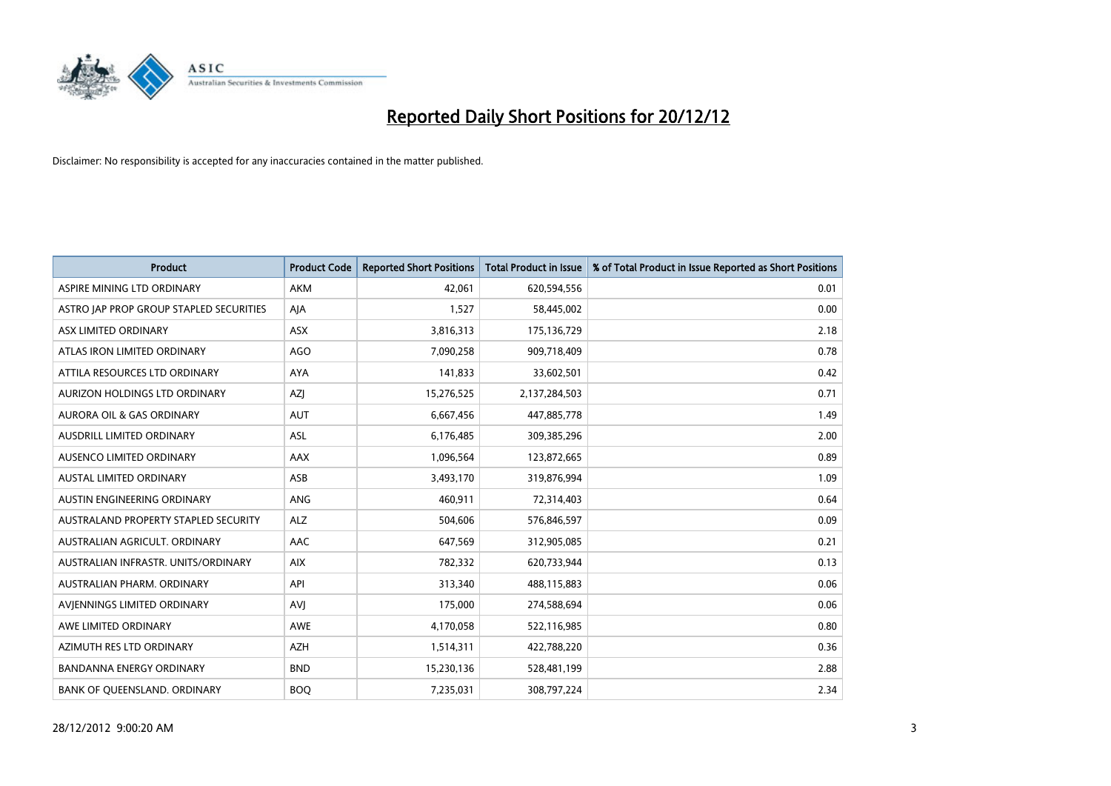

| <b>Product</b>                          | <b>Product Code</b> | <b>Reported Short Positions</b> | <b>Total Product in Issue</b> | % of Total Product in Issue Reported as Short Positions |
|-----------------------------------------|---------------------|---------------------------------|-------------------------------|---------------------------------------------------------|
| ASPIRE MINING LTD ORDINARY              | <b>AKM</b>          | 42,061                          | 620,594,556                   | 0.01                                                    |
| ASTRO JAP PROP GROUP STAPLED SECURITIES | AJA                 | 1,527                           | 58,445,002                    | 0.00                                                    |
| ASX LIMITED ORDINARY                    | <b>ASX</b>          | 3,816,313                       | 175,136,729                   | 2.18                                                    |
| ATLAS IRON LIMITED ORDINARY             | AGO                 | 7,090,258                       | 909,718,409                   | 0.78                                                    |
| ATTILA RESOURCES LTD ORDINARY           | <b>AYA</b>          | 141,833                         | 33,602,501                    | 0.42                                                    |
| AURIZON HOLDINGS LTD ORDINARY           | <b>AZI</b>          | 15,276,525                      | 2,137,284,503                 | 0.71                                                    |
| AURORA OIL & GAS ORDINARY               | <b>AUT</b>          | 6,667,456                       | 447,885,778                   | 1.49                                                    |
| AUSDRILL LIMITED ORDINARY               | ASL                 | 6,176,485                       | 309,385,296                   | 2.00                                                    |
| AUSENCO LIMITED ORDINARY                | AAX                 | 1,096,564                       | 123,872,665                   | 0.89                                                    |
| <b>AUSTAL LIMITED ORDINARY</b>          | ASB                 | 3,493,170                       | 319,876,994                   | 1.09                                                    |
| AUSTIN ENGINEERING ORDINARY             | ANG                 | 460,911                         | 72,314,403                    | 0.64                                                    |
| AUSTRALAND PROPERTY STAPLED SECURITY    | <b>ALZ</b>          | 504,606                         | 576,846,597                   | 0.09                                                    |
| AUSTRALIAN AGRICULT. ORDINARY           | AAC                 | 647,569                         | 312,905,085                   | 0.21                                                    |
| AUSTRALIAN INFRASTR. UNITS/ORDINARY     | <b>AIX</b>          | 782,332                         | 620,733,944                   | 0.13                                                    |
| AUSTRALIAN PHARM, ORDINARY              | API                 | 313,340                         | 488,115,883                   | 0.06                                                    |
| AVIENNINGS LIMITED ORDINARY             | AVI                 | 175,000                         | 274,588,694                   | 0.06                                                    |
| AWE LIMITED ORDINARY                    | AWE                 | 4,170,058                       | 522,116,985                   | 0.80                                                    |
| AZIMUTH RES LTD ORDINARY                | <b>AZH</b>          | 1,514,311                       | 422,788,220                   | 0.36                                                    |
| <b>BANDANNA ENERGY ORDINARY</b>         | <b>BND</b>          | 15,230,136                      | 528,481,199                   | 2.88                                                    |
| BANK OF QUEENSLAND. ORDINARY            | <b>BOQ</b>          | 7,235,031                       | 308,797,224                   | 2.34                                                    |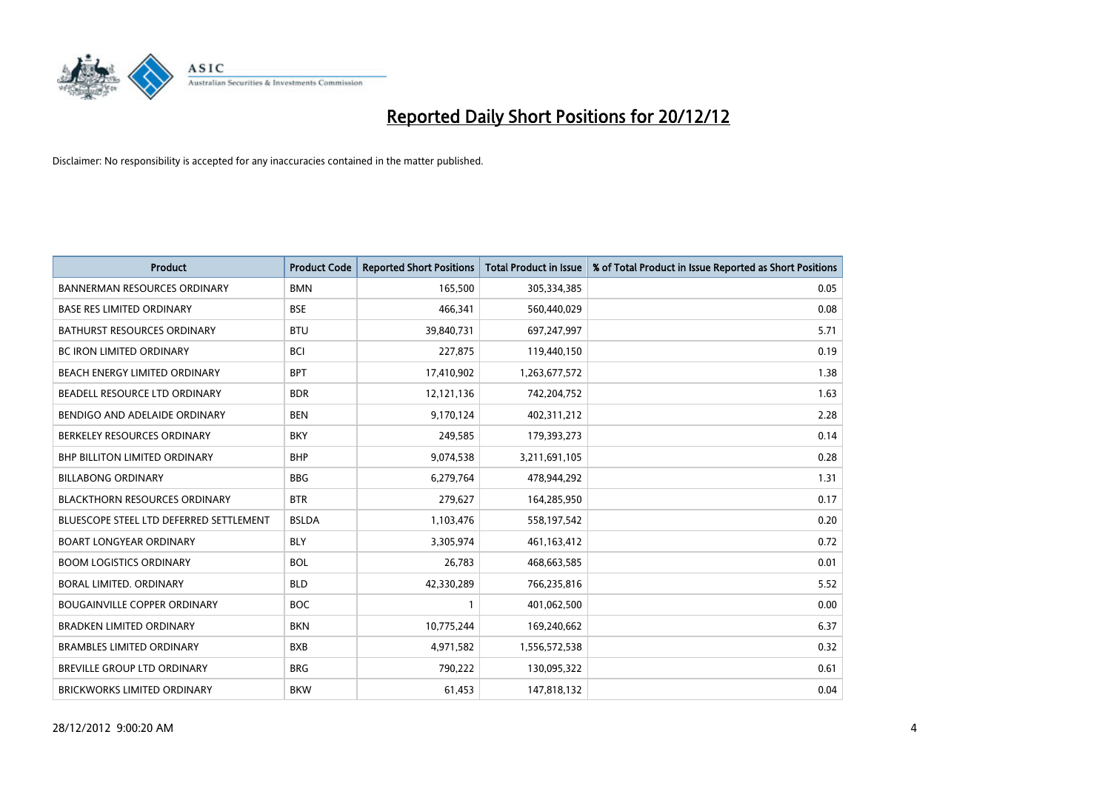

| <b>Product</b>                          | <b>Product Code</b> | <b>Reported Short Positions</b> | <b>Total Product in Issue</b> | % of Total Product in Issue Reported as Short Positions |
|-----------------------------------------|---------------------|---------------------------------|-------------------------------|---------------------------------------------------------|
| <b>BANNERMAN RESOURCES ORDINARY</b>     | <b>BMN</b>          | 165,500                         | 305,334,385                   | 0.05                                                    |
| <b>BASE RES LIMITED ORDINARY</b>        | <b>BSE</b>          | 466,341                         | 560,440,029                   | 0.08                                                    |
| <b>BATHURST RESOURCES ORDINARY</b>      | <b>BTU</b>          | 39,840,731                      | 697,247,997                   | 5.71                                                    |
| <b>BC IRON LIMITED ORDINARY</b>         | <b>BCI</b>          | 227,875                         | 119,440,150                   | 0.19                                                    |
| BEACH ENERGY LIMITED ORDINARY           | <b>BPT</b>          | 17,410,902                      | 1,263,677,572                 | 1.38                                                    |
| BEADELL RESOURCE LTD ORDINARY           | <b>BDR</b>          | 12,121,136                      | 742,204,752                   | 1.63                                                    |
| BENDIGO AND ADELAIDE ORDINARY           | <b>BEN</b>          | 9,170,124                       | 402,311,212                   | 2.28                                                    |
| BERKELEY RESOURCES ORDINARY             | <b>BKY</b>          | 249,585                         | 179,393,273                   | 0.14                                                    |
| <b>BHP BILLITON LIMITED ORDINARY</b>    | <b>BHP</b>          | 9,074,538                       | 3,211,691,105                 | 0.28                                                    |
| <b>BILLABONG ORDINARY</b>               | <b>BBG</b>          | 6,279,764                       | 478,944,292                   | 1.31                                                    |
| <b>BLACKTHORN RESOURCES ORDINARY</b>    | <b>BTR</b>          | 279,627                         | 164,285,950                   | 0.17                                                    |
| BLUESCOPE STEEL LTD DEFERRED SETTLEMENT | <b>BSLDA</b>        | 1,103,476                       | 558,197,542                   | 0.20                                                    |
| <b>BOART LONGYEAR ORDINARY</b>          | <b>BLY</b>          | 3,305,974                       | 461,163,412                   | 0.72                                                    |
| <b>BOOM LOGISTICS ORDINARY</b>          | <b>BOL</b>          | 26,783                          | 468,663,585                   | 0.01                                                    |
| BORAL LIMITED, ORDINARY                 | <b>BLD</b>          | 42,330,289                      | 766,235,816                   | 5.52                                                    |
| <b>BOUGAINVILLE COPPER ORDINARY</b>     | <b>BOC</b>          |                                 | 401,062,500                   | 0.00                                                    |
| <b>BRADKEN LIMITED ORDINARY</b>         | <b>BKN</b>          | 10,775,244                      | 169,240,662                   | 6.37                                                    |
| <b>BRAMBLES LIMITED ORDINARY</b>        | <b>BXB</b>          | 4,971,582                       | 1,556,572,538                 | 0.32                                                    |
| <b>BREVILLE GROUP LTD ORDINARY</b>      | <b>BRG</b>          | 790,222                         | 130,095,322                   | 0.61                                                    |
| BRICKWORKS LIMITED ORDINARY             | <b>BKW</b>          | 61,453                          | 147,818,132                   | 0.04                                                    |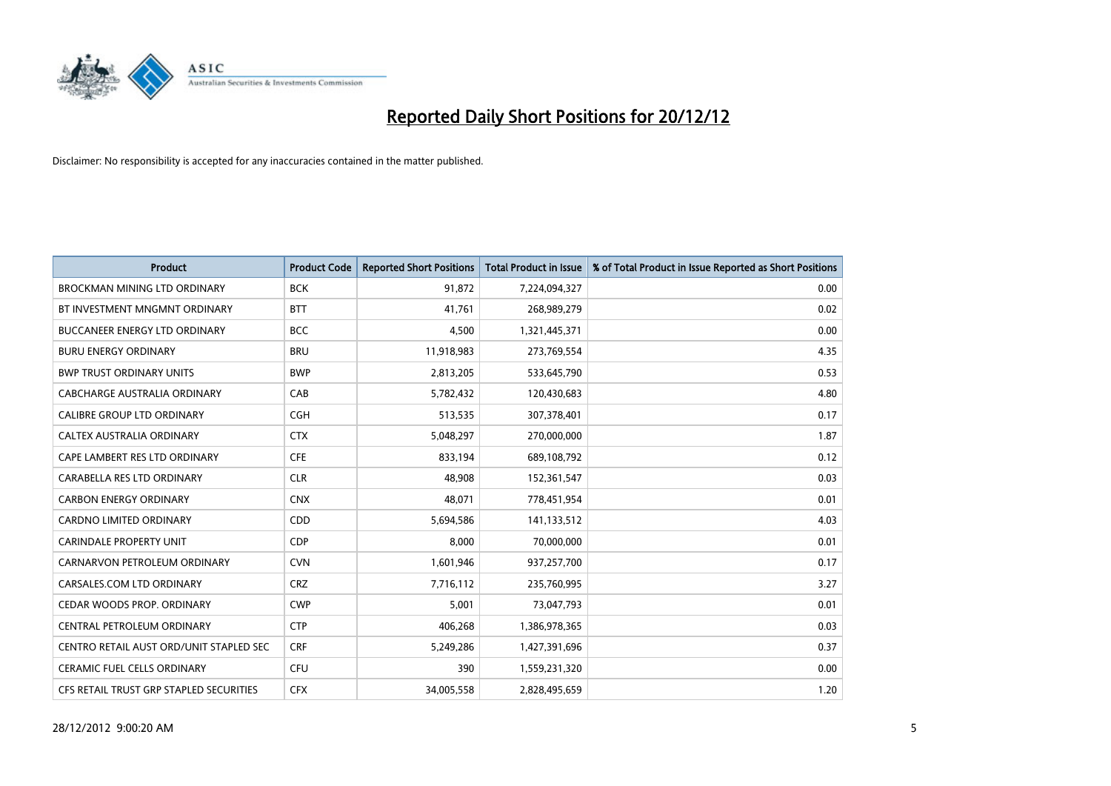

| <b>Product</b>                          | <b>Product Code</b> | <b>Reported Short Positions</b> | <b>Total Product in Issue</b> | % of Total Product in Issue Reported as Short Positions |
|-----------------------------------------|---------------------|---------------------------------|-------------------------------|---------------------------------------------------------|
| <b>BROCKMAN MINING LTD ORDINARY</b>     | <b>BCK</b>          | 91,872                          | 7,224,094,327                 | 0.00                                                    |
| BT INVESTMENT MNGMNT ORDINARY           | <b>BTT</b>          | 41,761                          | 268,989,279                   | 0.02                                                    |
| <b>BUCCANEER ENERGY LTD ORDINARY</b>    | <b>BCC</b>          | 4,500                           | 1,321,445,371                 | 0.00                                                    |
| <b>BURU ENERGY ORDINARY</b>             | <b>BRU</b>          | 11,918,983                      | 273,769,554                   | 4.35                                                    |
| <b>BWP TRUST ORDINARY UNITS</b>         | <b>BWP</b>          | 2,813,205                       | 533,645,790                   | 0.53                                                    |
| CABCHARGE AUSTRALIA ORDINARY            | CAB                 | 5,782,432                       | 120,430,683                   | 4.80                                                    |
| <b>CALIBRE GROUP LTD ORDINARY</b>       | <b>CGH</b>          | 513,535                         | 307,378,401                   | 0.17                                                    |
| <b>CALTEX AUSTRALIA ORDINARY</b>        | <b>CTX</b>          | 5,048,297                       | 270,000,000                   | 1.87                                                    |
| CAPE LAMBERT RES LTD ORDINARY           | <b>CFE</b>          | 833,194                         | 689,108,792                   | 0.12                                                    |
| CARABELLA RES LTD ORDINARY              | <b>CLR</b>          | 48,908                          | 152,361,547                   | 0.03                                                    |
| <b>CARBON ENERGY ORDINARY</b>           | <b>CNX</b>          | 48,071                          | 778,451,954                   | 0.01                                                    |
| <b>CARDNO LIMITED ORDINARY</b>          | <b>CDD</b>          | 5,694,586                       | 141,133,512                   | 4.03                                                    |
| <b>CARINDALE PROPERTY UNIT</b>          | <b>CDP</b>          | 8,000                           | 70,000,000                    | 0.01                                                    |
| CARNARVON PETROLEUM ORDINARY            | <b>CVN</b>          | 1,601,946                       | 937,257,700                   | 0.17                                                    |
| CARSALES.COM LTD ORDINARY               | <b>CRZ</b>          | 7,716,112                       | 235,760,995                   | 3.27                                                    |
| CEDAR WOODS PROP. ORDINARY              | <b>CWP</b>          | 5,001                           | 73,047,793                    | 0.01                                                    |
| CENTRAL PETROLEUM ORDINARY              | <b>CTP</b>          | 406,268                         | 1,386,978,365                 | 0.03                                                    |
| CENTRO RETAIL AUST ORD/UNIT STAPLED SEC | <b>CRF</b>          | 5,249,286                       | 1,427,391,696                 | 0.37                                                    |
| <b>CERAMIC FUEL CELLS ORDINARY</b>      | CFU                 | 390                             | 1,559,231,320                 | 0.00                                                    |
| CFS RETAIL TRUST GRP STAPLED SECURITIES | <b>CFX</b>          | 34,005,558                      | 2,828,495,659                 | 1.20                                                    |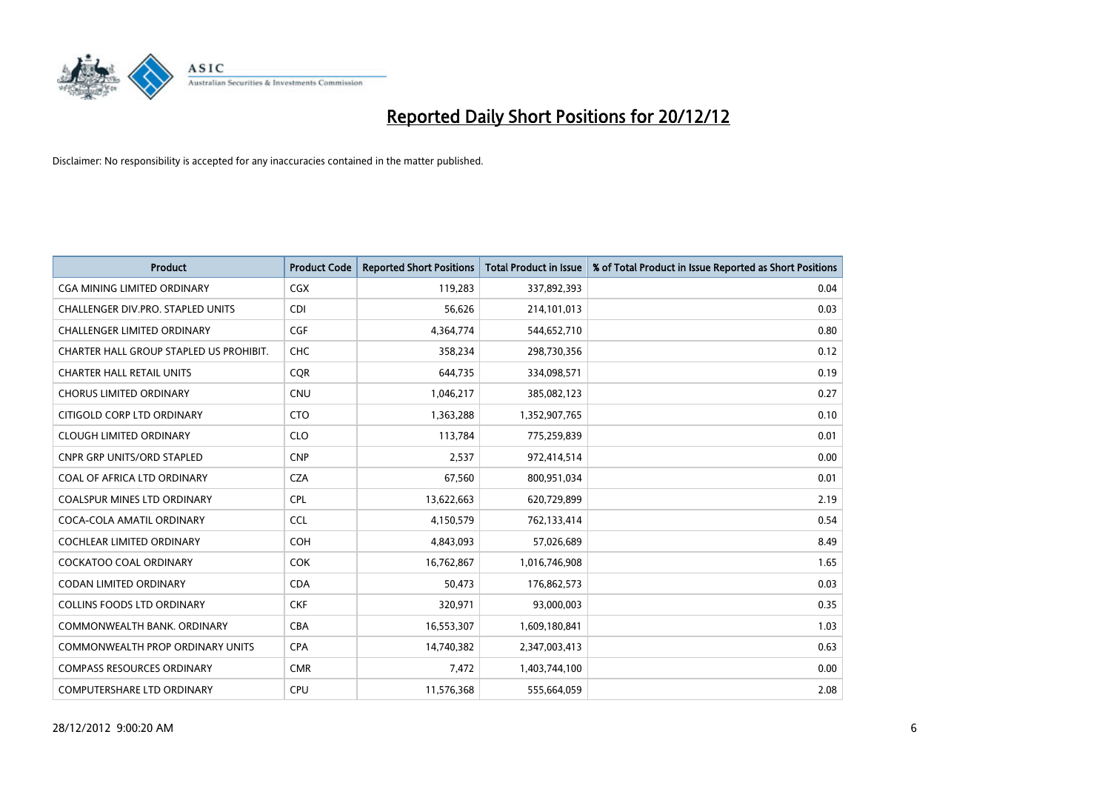

| <b>Product</b>                          | <b>Product Code</b> | <b>Reported Short Positions</b> | <b>Total Product in Issue</b> | % of Total Product in Issue Reported as Short Positions |
|-----------------------------------------|---------------------|---------------------------------|-------------------------------|---------------------------------------------------------|
| <b>CGA MINING LIMITED ORDINARY</b>      | CGX                 | 119,283                         | 337,892,393                   | 0.04                                                    |
| CHALLENGER DIV.PRO. STAPLED UNITS       | <b>CDI</b>          | 56,626                          | 214,101,013                   | 0.03                                                    |
| <b>CHALLENGER LIMITED ORDINARY</b>      | <b>CGF</b>          | 4,364,774                       | 544,652,710                   | 0.80                                                    |
| CHARTER HALL GROUP STAPLED US PROHIBIT. | <b>CHC</b>          | 358,234                         | 298,730,356                   | 0.12                                                    |
| <b>CHARTER HALL RETAIL UNITS</b>        | <b>COR</b>          | 644,735                         | 334,098,571                   | 0.19                                                    |
| <b>CHORUS LIMITED ORDINARY</b>          | <b>CNU</b>          | 1,046,217                       | 385,082,123                   | 0.27                                                    |
| CITIGOLD CORP LTD ORDINARY              | <b>CTO</b>          | 1,363,288                       | 1,352,907,765                 | 0.10                                                    |
| <b>CLOUGH LIMITED ORDINARY</b>          | <b>CLO</b>          | 113,784                         | 775,259,839                   | 0.01                                                    |
| <b>CNPR GRP UNITS/ORD STAPLED</b>       | <b>CNP</b>          | 2,537                           | 972,414,514                   | 0.00                                                    |
| COAL OF AFRICA LTD ORDINARY             | <b>CZA</b>          | 67,560                          | 800,951,034                   | 0.01                                                    |
| <b>COALSPUR MINES LTD ORDINARY</b>      | <b>CPL</b>          | 13,622,663                      | 620,729,899                   | 2.19                                                    |
| COCA-COLA AMATIL ORDINARY               | <b>CCL</b>          | 4,150,579                       | 762,133,414                   | 0.54                                                    |
| <b>COCHLEAR LIMITED ORDINARY</b>        | <b>COH</b>          | 4,843,093                       | 57,026,689                    | 8.49                                                    |
| <b>COCKATOO COAL ORDINARY</b>           | <b>COK</b>          | 16,762,867                      | 1,016,746,908                 | 1.65                                                    |
| <b>CODAN LIMITED ORDINARY</b>           | <b>CDA</b>          | 50,473                          | 176,862,573                   | 0.03                                                    |
| <b>COLLINS FOODS LTD ORDINARY</b>       | <b>CKF</b>          | 320,971                         | 93,000,003                    | 0.35                                                    |
| COMMONWEALTH BANK, ORDINARY             | CBA                 | 16,553,307                      | 1,609,180,841                 | 1.03                                                    |
| <b>COMMONWEALTH PROP ORDINARY UNITS</b> | <b>CPA</b>          | 14,740,382                      | 2,347,003,413                 | 0.63                                                    |
| <b>COMPASS RESOURCES ORDINARY</b>       | <b>CMR</b>          | 7,472                           | 1,403,744,100                 | 0.00                                                    |
| <b>COMPUTERSHARE LTD ORDINARY</b>       | <b>CPU</b>          | 11,576,368                      | 555,664,059                   | 2.08                                                    |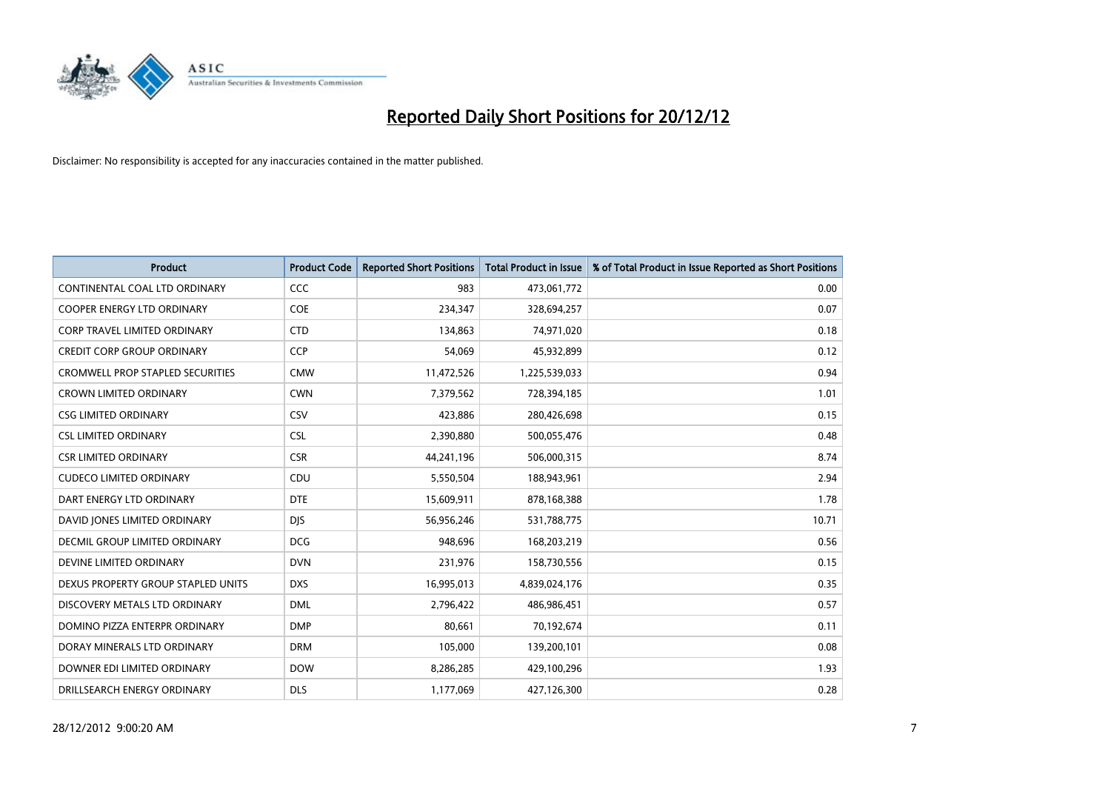

| <b>Product</b>                          | <b>Product Code</b> | <b>Reported Short Positions</b> | Total Product in Issue | % of Total Product in Issue Reported as Short Positions |
|-----------------------------------------|---------------------|---------------------------------|------------------------|---------------------------------------------------------|
| CONTINENTAL COAL LTD ORDINARY           | <b>CCC</b>          | 983                             | 473,061,772            | 0.00                                                    |
| COOPER ENERGY LTD ORDINARY              | <b>COE</b>          | 234,347                         | 328,694,257            | 0.07                                                    |
| <b>CORP TRAVEL LIMITED ORDINARY</b>     | <b>CTD</b>          | 134,863                         | 74,971,020             | 0.18                                                    |
| <b>CREDIT CORP GROUP ORDINARY</b>       | <b>CCP</b>          | 54,069                          | 45,932,899             | 0.12                                                    |
| <b>CROMWELL PROP STAPLED SECURITIES</b> | <b>CMW</b>          | 11,472,526                      | 1,225,539,033          | 0.94                                                    |
| <b>CROWN LIMITED ORDINARY</b>           | <b>CWN</b>          | 7,379,562                       | 728,394,185            | 1.01                                                    |
| <b>CSG LIMITED ORDINARY</b>             | CSV                 | 423.886                         | 280,426,698            | 0.15                                                    |
| <b>CSL LIMITED ORDINARY</b>             | <b>CSL</b>          | 2,390,880                       | 500,055,476            | 0.48                                                    |
| <b>CSR LIMITED ORDINARY</b>             | <b>CSR</b>          | 44,241,196                      | 506,000,315            | 8.74                                                    |
| <b>CUDECO LIMITED ORDINARY</b>          | CDU                 | 5,550,504                       | 188,943,961            | 2.94                                                    |
| DART ENERGY LTD ORDINARY                | <b>DTE</b>          | 15,609,911                      | 878,168,388            | 1.78                                                    |
| DAVID JONES LIMITED ORDINARY            | <b>DJS</b>          | 56,956,246                      | 531,788,775            | 10.71                                                   |
| <b>DECMIL GROUP LIMITED ORDINARY</b>    | <b>DCG</b>          | 948,696                         | 168,203,219            | 0.56                                                    |
| DEVINE LIMITED ORDINARY                 | <b>DVN</b>          | 231,976                         | 158,730,556            | 0.15                                                    |
| DEXUS PROPERTY GROUP STAPLED UNITS      | <b>DXS</b>          | 16,995,013                      | 4,839,024,176          | 0.35                                                    |
| DISCOVERY METALS LTD ORDINARY           | <b>DML</b>          | 2,796,422                       | 486,986,451            | 0.57                                                    |
| DOMINO PIZZA ENTERPR ORDINARY           | <b>DMP</b>          | 80,661                          | 70,192,674             | 0.11                                                    |
| DORAY MINERALS LTD ORDINARY             | <b>DRM</b>          | 105,000                         | 139,200,101            | 0.08                                                    |
| DOWNER EDI LIMITED ORDINARY             | <b>DOW</b>          | 8,286,285                       | 429,100,296            | 1.93                                                    |
| DRILLSEARCH ENERGY ORDINARY             | <b>DLS</b>          | 1,177,069                       | 427,126,300            | 0.28                                                    |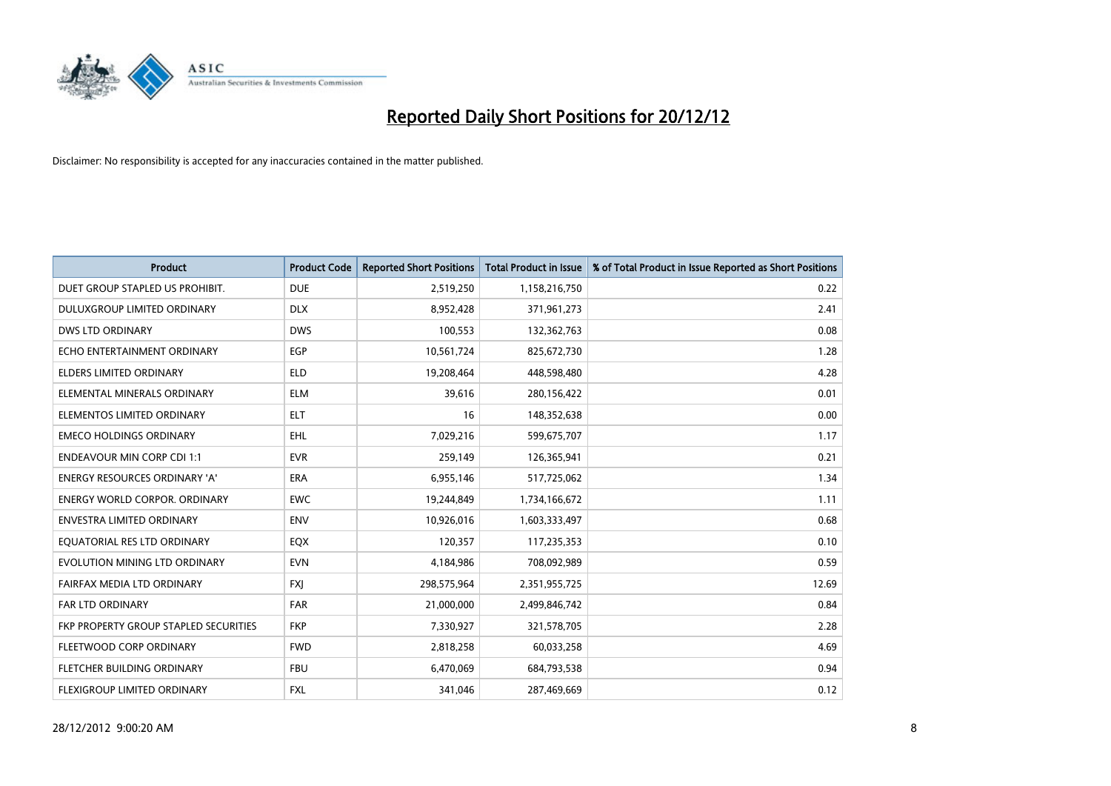

| <b>Product</b>                        | <b>Product Code</b> | <b>Reported Short Positions</b> | <b>Total Product in Issue</b> | % of Total Product in Issue Reported as Short Positions |
|---------------------------------------|---------------------|---------------------------------|-------------------------------|---------------------------------------------------------|
| DUET GROUP STAPLED US PROHIBIT.       | <b>DUE</b>          | 2,519,250                       | 1,158,216,750                 | 0.22                                                    |
| DULUXGROUP LIMITED ORDINARY           | <b>DLX</b>          | 8,952,428                       | 371,961,273                   | 2.41                                                    |
| <b>DWS LTD ORDINARY</b>               | <b>DWS</b>          | 100,553                         | 132,362,763                   | 0.08                                                    |
| ECHO ENTERTAINMENT ORDINARY           | <b>EGP</b>          | 10,561,724                      | 825,672,730                   | 1.28                                                    |
| <b>ELDERS LIMITED ORDINARY</b>        | <b>ELD</b>          | 19,208,464                      | 448,598,480                   | 4.28                                                    |
| ELEMENTAL MINERALS ORDINARY           | <b>ELM</b>          | 39,616                          | 280,156,422                   | 0.01                                                    |
| ELEMENTOS LIMITED ORDINARY            | <b>ELT</b>          | 16                              | 148,352,638                   | 0.00                                                    |
| <b>EMECO HOLDINGS ORDINARY</b>        | <b>EHL</b>          | 7,029,216                       | 599,675,707                   | 1.17                                                    |
| <b>ENDEAVOUR MIN CORP CDI 1:1</b>     | <b>EVR</b>          | 259,149                         | 126,365,941                   | 0.21                                                    |
| <b>ENERGY RESOURCES ORDINARY 'A'</b>  | <b>ERA</b>          | 6,955,146                       | 517,725,062                   | 1.34                                                    |
| <b>ENERGY WORLD CORPOR, ORDINARY</b>  | <b>EWC</b>          | 19,244,849                      | 1,734,166,672                 | 1.11                                                    |
| <b>ENVESTRA LIMITED ORDINARY</b>      | <b>ENV</b>          | 10,926,016                      | 1,603,333,497                 | 0.68                                                    |
| EQUATORIAL RES LTD ORDINARY           | <b>EQX</b>          | 120,357                         | 117,235,353                   | 0.10                                                    |
| EVOLUTION MINING LTD ORDINARY         | <b>EVN</b>          | 4,184,986                       | 708,092,989                   | 0.59                                                    |
| FAIRFAX MEDIA LTD ORDINARY            | <b>FXI</b>          | 298,575,964                     | 2,351,955,725                 | 12.69                                                   |
| <b>FAR LTD ORDINARY</b>               | <b>FAR</b>          | 21,000,000                      | 2,499,846,742                 | 0.84                                                    |
| FKP PROPERTY GROUP STAPLED SECURITIES | <b>FKP</b>          | 7,330,927                       | 321,578,705                   | 2.28                                                    |
| FLEETWOOD CORP ORDINARY               | <b>FWD</b>          | 2,818,258                       | 60,033,258                    | 4.69                                                    |
| FLETCHER BUILDING ORDINARY            | <b>FBU</b>          | 6,470,069                       | 684,793,538                   | 0.94                                                    |
| <b>FLEXIGROUP LIMITED ORDINARY</b>    | <b>FXL</b>          | 341.046                         | 287,469,669                   | 0.12                                                    |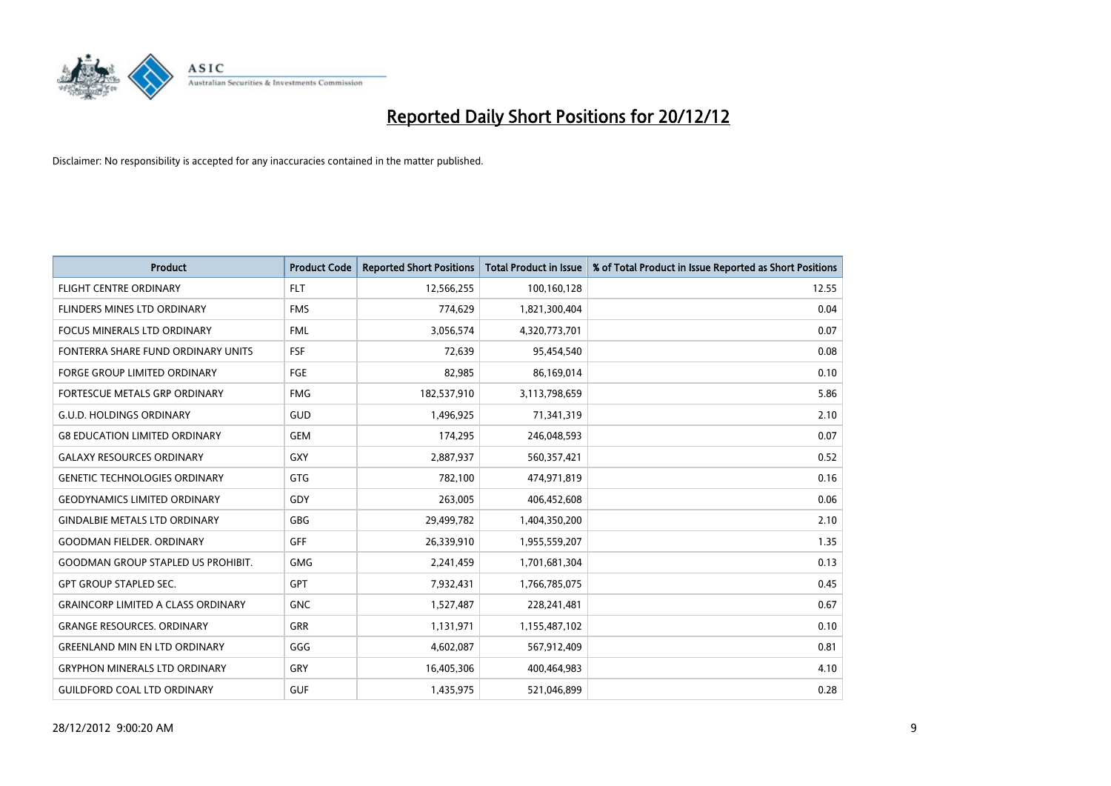

| <b>Product</b>                            | <b>Product Code</b> | <b>Reported Short Positions</b> | <b>Total Product in Issue</b> | % of Total Product in Issue Reported as Short Positions |
|-------------------------------------------|---------------------|---------------------------------|-------------------------------|---------------------------------------------------------|
| <b>FLIGHT CENTRE ORDINARY</b>             | <b>FLT</b>          | 12,566,255                      | 100,160,128                   | 12.55                                                   |
| FLINDERS MINES LTD ORDINARY               | <b>FMS</b>          | 774,629                         | 1,821,300,404                 | 0.04                                                    |
| <b>FOCUS MINERALS LTD ORDINARY</b>        | <b>FML</b>          | 3,056,574                       | 4,320,773,701                 | 0.07                                                    |
| FONTERRA SHARE FUND ORDINARY UNITS        | <b>FSF</b>          | 72,639                          | 95,454,540                    | 0.08                                                    |
| <b>FORGE GROUP LIMITED ORDINARY</b>       | FGE                 | 82,985                          | 86,169,014                    | 0.10                                                    |
| FORTESCUE METALS GRP ORDINARY             | <b>FMG</b>          | 182,537,910                     | 3,113,798,659                 | 5.86                                                    |
| <b>G.U.D. HOLDINGS ORDINARY</b>           | GUD                 | 1,496,925                       | 71,341,319                    | 2.10                                                    |
| <b>G8 EDUCATION LIMITED ORDINARY</b>      | <b>GEM</b>          | 174,295                         | 246,048,593                   | 0.07                                                    |
| <b>GALAXY RESOURCES ORDINARY</b>          | <b>GXY</b>          | 2,887,937                       | 560,357,421                   | 0.52                                                    |
| <b>GENETIC TECHNOLOGIES ORDINARY</b>      | <b>GTG</b>          | 782,100                         | 474,971,819                   | 0.16                                                    |
| <b>GEODYNAMICS LIMITED ORDINARY</b>       | GDY                 | 263,005                         | 406,452,608                   | 0.06                                                    |
| <b>GINDALBIE METALS LTD ORDINARY</b>      | <b>GBG</b>          | 29,499,782                      | 1,404,350,200                 | 2.10                                                    |
| <b>GOODMAN FIELDER, ORDINARY</b>          | GFF                 | 26,339,910                      | 1,955,559,207                 | 1.35                                                    |
| <b>GOODMAN GROUP STAPLED US PROHIBIT.</b> | <b>GMG</b>          | 2,241,459                       | 1,701,681,304                 | 0.13                                                    |
| <b>GPT GROUP STAPLED SEC.</b>             | <b>GPT</b>          | 7,932,431                       | 1,766,785,075                 | 0.45                                                    |
| <b>GRAINCORP LIMITED A CLASS ORDINARY</b> | <b>GNC</b>          | 1,527,487                       | 228,241,481                   | 0.67                                                    |
| <b>GRANGE RESOURCES, ORDINARY</b>         | <b>GRR</b>          | 1,131,971                       | 1,155,487,102                 | 0.10                                                    |
| <b>GREENLAND MIN EN LTD ORDINARY</b>      | GGG                 | 4,602,087                       | 567,912,409                   | 0.81                                                    |
| <b>GRYPHON MINERALS LTD ORDINARY</b>      | GRY                 | 16,405,306                      | 400,464,983                   | 4.10                                                    |
| <b>GUILDFORD COAL LTD ORDINARY</b>        | <b>GUF</b>          | 1,435,975                       | 521,046,899                   | 0.28                                                    |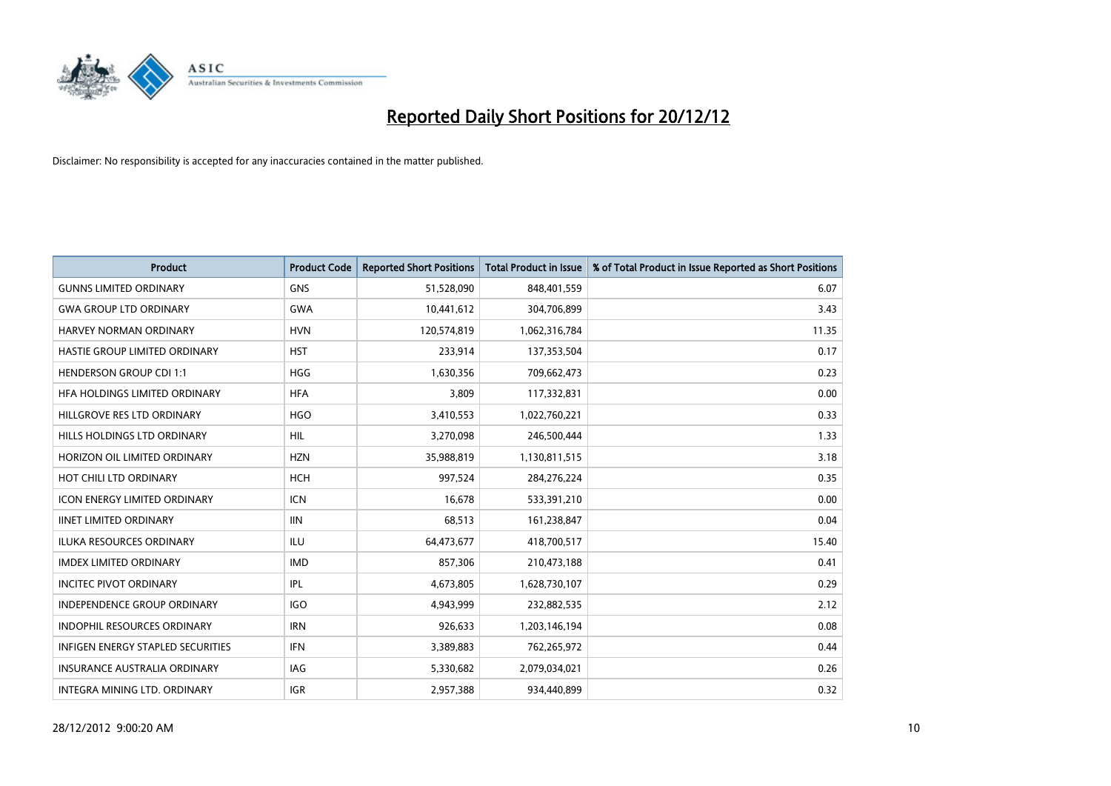

| <b>Product</b>                      | <b>Product Code</b> | <b>Reported Short Positions</b> | <b>Total Product in Issue</b> | % of Total Product in Issue Reported as Short Positions |
|-------------------------------------|---------------------|---------------------------------|-------------------------------|---------------------------------------------------------|
| <b>GUNNS LIMITED ORDINARY</b>       | <b>GNS</b>          | 51,528,090                      | 848,401,559                   | 6.07                                                    |
| <b>GWA GROUP LTD ORDINARY</b>       | <b>GWA</b>          | 10,441,612                      | 304,706,899                   | 3.43                                                    |
| HARVEY NORMAN ORDINARY              | <b>HVN</b>          | 120,574,819                     | 1,062,316,784                 | 11.35                                                   |
| HASTIE GROUP LIMITED ORDINARY       | <b>HST</b>          | 233,914                         | 137,353,504                   | 0.17                                                    |
| <b>HENDERSON GROUP CDI 1:1</b>      | <b>HGG</b>          | 1,630,356                       | 709,662,473                   | 0.23                                                    |
| HFA HOLDINGS LIMITED ORDINARY       | <b>HFA</b>          | 3,809                           | 117,332,831                   | 0.00                                                    |
| HILLGROVE RES LTD ORDINARY          | <b>HGO</b>          | 3,410,553                       | 1,022,760,221                 | 0.33                                                    |
| HILLS HOLDINGS LTD ORDINARY         | <b>HIL</b>          | 3,270,098                       | 246,500,444                   | 1.33                                                    |
| HORIZON OIL LIMITED ORDINARY        | <b>HZN</b>          | 35,988,819                      | 1,130,811,515                 | 3.18                                                    |
| HOT CHILI LTD ORDINARY              | <b>HCH</b>          | 997,524                         | 284,276,224                   | 0.35                                                    |
| <b>ICON ENERGY LIMITED ORDINARY</b> | <b>ICN</b>          | 16,678                          | 533,391,210                   | 0.00                                                    |
| <b>IINET LIMITED ORDINARY</b>       | <b>IIN</b>          | 68,513                          | 161,238,847                   | 0.04                                                    |
| <b>ILUKA RESOURCES ORDINARY</b>     | ILU                 | 64,473,677                      | 418,700,517                   | 15.40                                                   |
| <b>IMDEX LIMITED ORDINARY</b>       | <b>IMD</b>          | 857,306                         | 210,473,188                   | 0.41                                                    |
| <b>INCITEC PIVOT ORDINARY</b>       | IPL                 | 4,673,805                       | 1,628,730,107                 | 0.29                                                    |
| <b>INDEPENDENCE GROUP ORDINARY</b>  | <b>IGO</b>          | 4,943,999                       | 232,882,535                   | 2.12                                                    |
| <b>INDOPHIL RESOURCES ORDINARY</b>  | <b>IRN</b>          | 926,633                         | 1,203,146,194                 | 0.08                                                    |
| INFIGEN ENERGY STAPLED SECURITIES   | <b>IFN</b>          | 3,389,883                       | 762,265,972                   | 0.44                                                    |
| <b>INSURANCE AUSTRALIA ORDINARY</b> | IAG                 | 5,330,682                       | 2,079,034,021                 | 0.26                                                    |
| INTEGRA MINING LTD. ORDINARY        | <b>IGR</b>          | 2,957,388                       | 934,440,899                   | 0.32                                                    |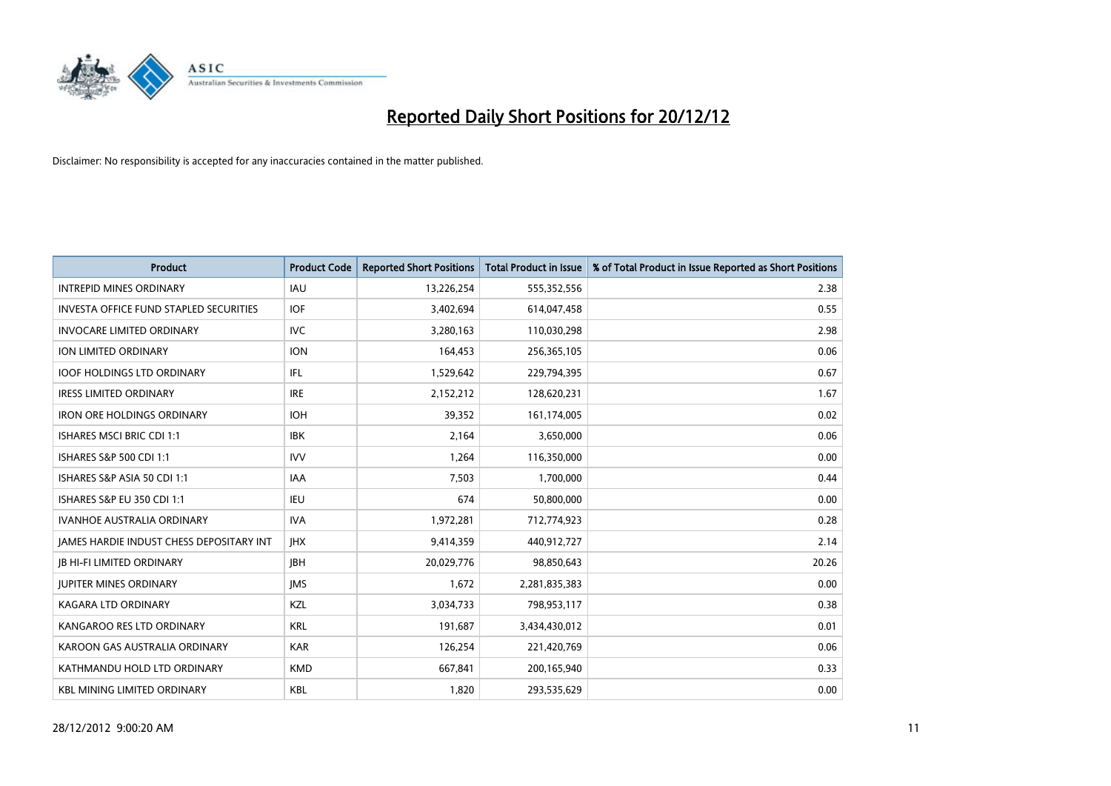

| <b>Product</b>                                  | <b>Product Code</b> | <b>Reported Short Positions</b> | <b>Total Product in Issue</b> | % of Total Product in Issue Reported as Short Positions |
|-------------------------------------------------|---------------------|---------------------------------|-------------------------------|---------------------------------------------------------|
| <b>INTREPID MINES ORDINARY</b>                  | <b>IAU</b>          | 13,226,254                      | 555,352,556                   | 2.38                                                    |
| <b>INVESTA OFFICE FUND STAPLED SECURITIES</b>   | <b>IOF</b>          | 3,402,694                       | 614,047,458                   | 0.55                                                    |
| <b>INVOCARE LIMITED ORDINARY</b>                | IVC                 | 3,280,163                       | 110,030,298                   | 2.98                                                    |
| ION LIMITED ORDINARY                            | <b>ION</b>          | 164,453                         | 256,365,105                   | 0.06                                                    |
| <b>IOOF HOLDINGS LTD ORDINARY</b>               | <b>IFL</b>          | 1,529,642                       | 229,794,395                   | 0.67                                                    |
| <b>IRESS LIMITED ORDINARY</b>                   | <b>IRE</b>          | 2,152,212                       | 128,620,231                   | 1.67                                                    |
| <b>IRON ORE HOLDINGS ORDINARY</b>               | <b>IOH</b>          | 39,352                          | 161,174,005                   | 0.02                                                    |
| <b>ISHARES MSCI BRIC CDI 1:1</b>                | <b>IBK</b>          | 2,164                           | 3,650,000                     | 0.06                                                    |
| ISHARES S&P 500 CDI 1:1                         | <b>IVV</b>          | 1,264                           | 116,350,000                   | 0.00                                                    |
| ISHARES S&P ASIA 50 CDI 1:1                     | <b>IAA</b>          | 7,503                           | 1,700,000                     | 0.44                                                    |
| ISHARES S&P EU 350 CDI 1:1                      | <b>IEU</b>          | 674                             | 50,800,000                    | 0.00                                                    |
| <b>IVANHOE AUSTRALIA ORDINARY</b>               | <b>IVA</b>          | 1,972,281                       | 712,774,923                   | 0.28                                                    |
| <b>IAMES HARDIE INDUST CHESS DEPOSITARY INT</b> | <b>IHX</b>          | 9,414,359                       | 440,912,727                   | 2.14                                                    |
| <b>IB HI-FI LIMITED ORDINARY</b>                | <b>IBH</b>          | 20,029,776                      | 98,850,643                    | 20.26                                                   |
| <b>JUPITER MINES ORDINARY</b>                   | <b>IMS</b>          | 1,672                           | 2,281,835,383                 | 0.00                                                    |
| <b>KAGARA LTD ORDINARY</b>                      | <b>KZL</b>          | 3,034,733                       | 798,953,117                   | 0.38                                                    |
| KANGAROO RES LTD ORDINARY                       | <b>KRL</b>          | 191,687                         | 3,434,430,012                 | 0.01                                                    |
| KAROON GAS AUSTRALIA ORDINARY                   | <b>KAR</b>          | 126,254                         | 221,420,769                   | 0.06                                                    |
| KATHMANDU HOLD LTD ORDINARY                     | <b>KMD</b>          | 667,841                         | 200,165,940                   | 0.33                                                    |
| <b>KBL MINING LIMITED ORDINARY</b>              | <b>KBL</b>          | 1,820                           | 293,535,629                   | 0.00                                                    |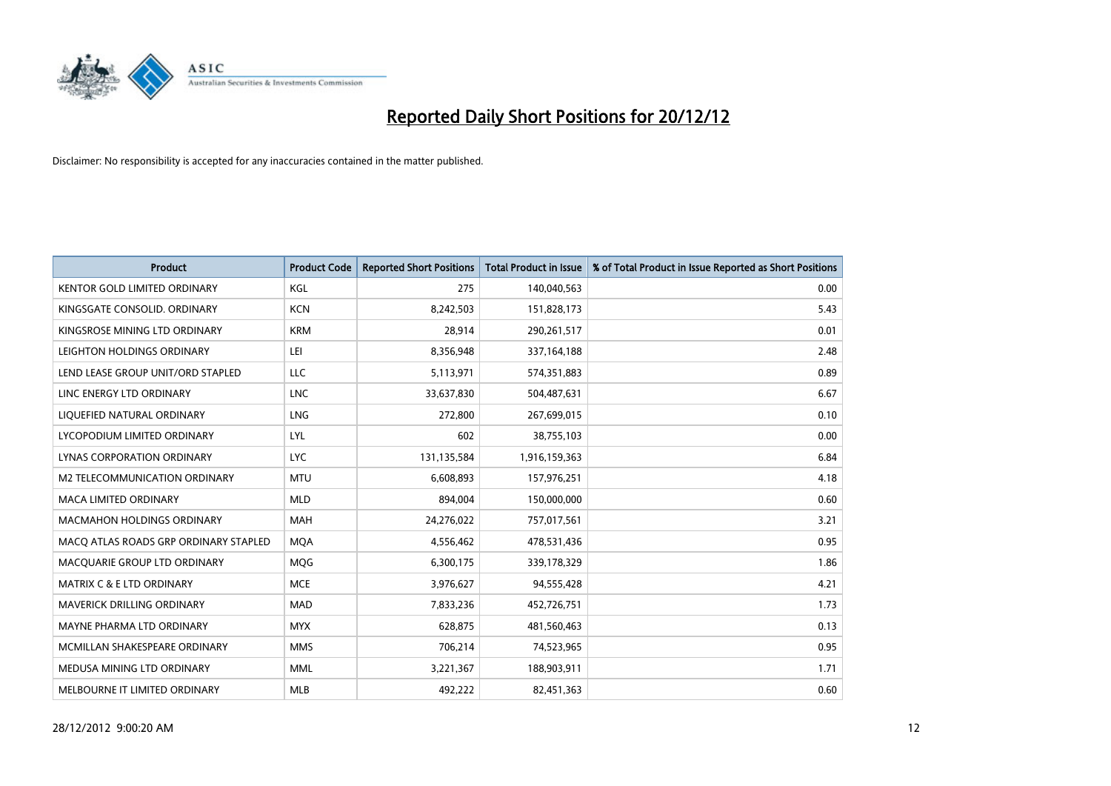

| <b>Product</b>                        | <b>Product Code</b> | <b>Reported Short Positions</b> | <b>Total Product in Issue</b> | % of Total Product in Issue Reported as Short Positions |
|---------------------------------------|---------------------|---------------------------------|-------------------------------|---------------------------------------------------------|
| <b>KENTOR GOLD LIMITED ORDINARY</b>   | KGL                 | 275                             | 140,040,563                   | 0.00                                                    |
| KINGSGATE CONSOLID. ORDINARY          | <b>KCN</b>          | 8,242,503                       | 151,828,173                   | 5.43                                                    |
| KINGSROSE MINING LTD ORDINARY         | <b>KRM</b>          | 28,914                          | 290,261,517                   | 0.01                                                    |
| LEIGHTON HOLDINGS ORDINARY            | LEI                 | 8,356,948                       | 337,164,188                   | 2.48                                                    |
| LEND LEASE GROUP UNIT/ORD STAPLED     | <b>LLC</b>          | 5,113,971                       | 574,351,883                   | 0.89                                                    |
| LINC ENERGY LTD ORDINARY              | <b>LNC</b>          | 33,637,830                      | 504,487,631                   | 6.67                                                    |
| LIQUEFIED NATURAL ORDINARY            | <b>LNG</b>          | 272,800                         | 267,699,015                   | 0.10                                                    |
| LYCOPODIUM LIMITED ORDINARY           | <b>LYL</b>          | 602                             | 38,755,103                    | 0.00                                                    |
| <b>LYNAS CORPORATION ORDINARY</b>     | <b>LYC</b>          | 131,135,584                     | 1,916,159,363                 | 6.84                                                    |
| M2 TELECOMMUNICATION ORDINARY         | <b>MTU</b>          | 6,608,893                       | 157,976,251                   | 4.18                                                    |
| MACA LIMITED ORDINARY                 | <b>MLD</b>          | 894,004                         | 150,000,000                   | 0.60                                                    |
| <b>MACMAHON HOLDINGS ORDINARY</b>     | <b>MAH</b>          | 24,276,022                      | 757,017,561                   | 3.21                                                    |
| MACQ ATLAS ROADS GRP ORDINARY STAPLED | <b>MQA</b>          | 4,556,462                       | 478,531,436                   | 0.95                                                    |
| MACOUARIE GROUP LTD ORDINARY          | <b>MOG</b>          | 6,300,175                       | 339,178,329                   | 1.86                                                    |
| <b>MATRIX C &amp; E LTD ORDINARY</b>  | <b>MCE</b>          | 3,976,627                       | 94,555,428                    | 4.21                                                    |
| MAVERICK DRILLING ORDINARY            | <b>MAD</b>          | 7,833,236                       | 452,726,751                   | 1.73                                                    |
| MAYNE PHARMA LTD ORDINARY             | <b>MYX</b>          | 628,875                         | 481,560,463                   | 0.13                                                    |
| MCMILLAN SHAKESPEARE ORDINARY         | <b>MMS</b>          | 706,214                         | 74,523,965                    | 0.95                                                    |
| MEDUSA MINING LTD ORDINARY            | <b>MML</b>          | 3,221,367                       | 188,903,911                   | 1.71                                                    |
| MELBOURNE IT LIMITED ORDINARY         | <b>MLB</b>          | 492,222                         | 82,451,363                    | 0.60                                                    |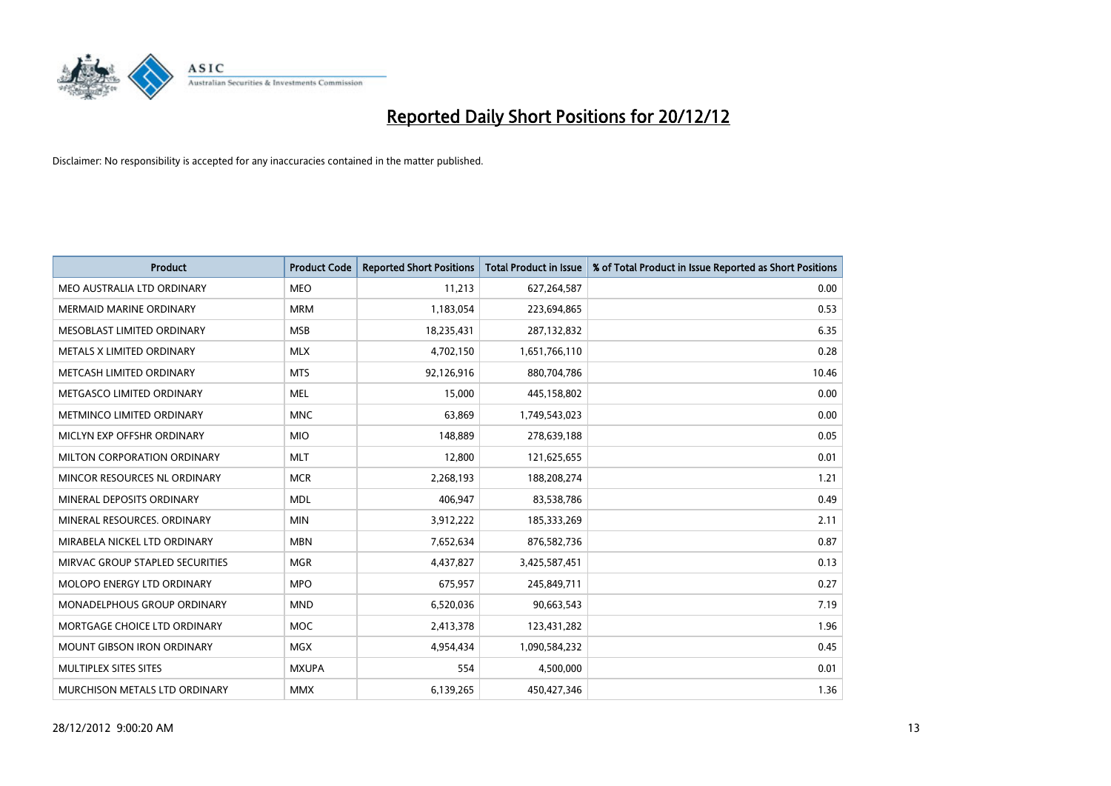

| <b>Product</b>                     | <b>Product Code</b> | <b>Reported Short Positions</b> | <b>Total Product in Issue</b> | % of Total Product in Issue Reported as Short Positions |
|------------------------------------|---------------------|---------------------------------|-------------------------------|---------------------------------------------------------|
| MEO AUSTRALIA LTD ORDINARY         | <b>MEO</b>          | 11,213                          | 627,264,587                   | 0.00                                                    |
| MERMAID MARINE ORDINARY            | <b>MRM</b>          | 1,183,054                       | 223,694,865                   | 0.53                                                    |
| MESOBLAST LIMITED ORDINARY         | <b>MSB</b>          | 18,235,431                      | 287,132,832                   | 6.35                                                    |
| METALS X LIMITED ORDINARY          | <b>MLX</b>          | 4,702,150                       | 1,651,766,110                 | 0.28                                                    |
| METCASH LIMITED ORDINARY           | <b>MTS</b>          | 92,126,916                      | 880,704,786                   | 10.46                                                   |
| METGASCO LIMITED ORDINARY          | <b>MEL</b>          | 15,000                          | 445,158,802                   | 0.00                                                    |
| METMINCO LIMITED ORDINARY          | <b>MNC</b>          | 63,869                          | 1,749,543,023                 | 0.00                                                    |
| MICLYN EXP OFFSHR ORDINARY         | <b>MIO</b>          | 148,889                         | 278,639,188                   | 0.05                                                    |
| MILTON CORPORATION ORDINARY        | <b>MLT</b>          | 12,800                          | 121,625,655                   | 0.01                                                    |
| MINCOR RESOURCES NL ORDINARY       | <b>MCR</b>          | 2,268,193                       | 188,208,274                   | 1.21                                                    |
| MINERAL DEPOSITS ORDINARY          | <b>MDL</b>          | 406,947                         | 83,538,786                    | 0.49                                                    |
| MINERAL RESOURCES. ORDINARY        | <b>MIN</b>          | 3,912,222                       | 185,333,269                   | 2.11                                                    |
| MIRABELA NICKEL LTD ORDINARY       | <b>MBN</b>          | 7,652,634                       | 876,582,736                   | 0.87                                                    |
| MIRVAC GROUP STAPLED SECURITIES    | <b>MGR</b>          | 4,437,827                       | 3,425,587,451                 | 0.13                                                    |
| MOLOPO ENERGY LTD ORDINARY         | <b>MPO</b>          | 675,957                         | 245,849,711                   | 0.27                                                    |
| <b>MONADELPHOUS GROUP ORDINARY</b> | <b>MND</b>          | 6,520,036                       | 90,663,543                    | 7.19                                                    |
| MORTGAGE CHOICE LTD ORDINARY       | <b>MOC</b>          | 2,413,378                       | 123,431,282                   | 1.96                                                    |
| MOUNT GIBSON IRON ORDINARY         | <b>MGX</b>          | 4,954,434                       | 1,090,584,232                 | 0.45                                                    |
| MULTIPLEX SITES SITES              | <b>MXUPA</b>        | 554                             | 4,500,000                     | 0.01                                                    |
| MURCHISON METALS LTD ORDINARY      | <b>MMX</b>          | 6,139,265                       | 450,427,346                   | 1.36                                                    |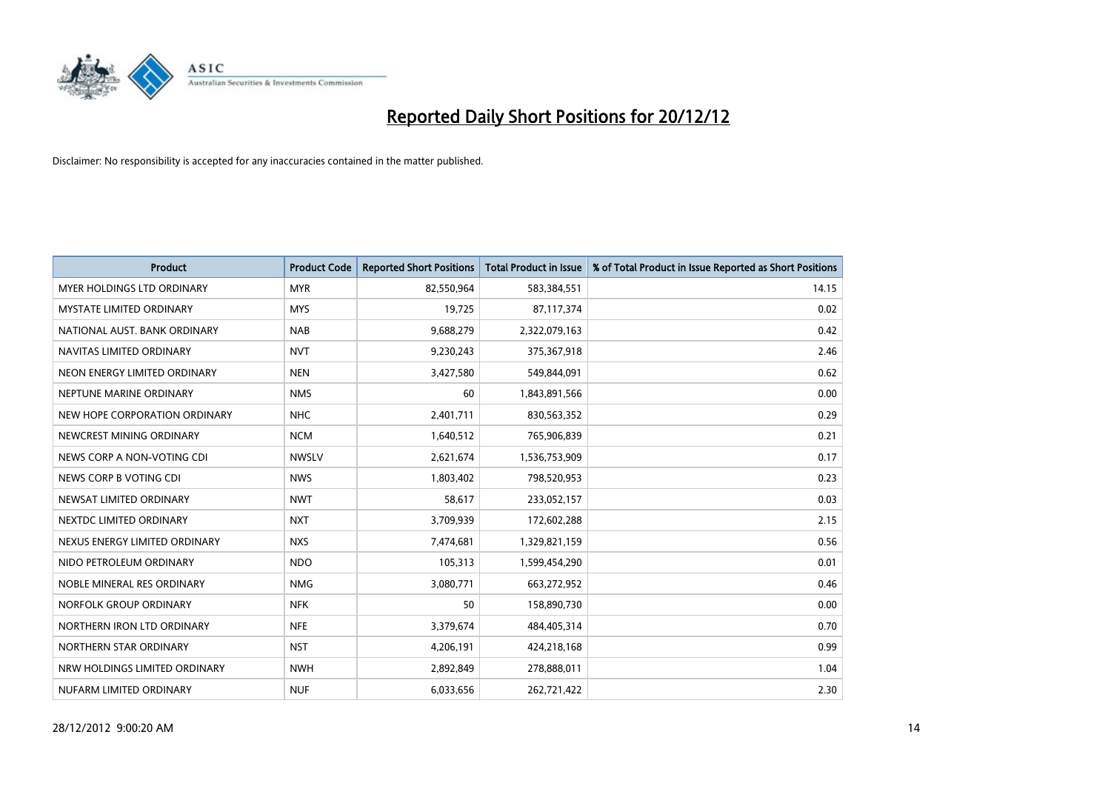

| <b>Product</b>                    | <b>Product Code</b> | <b>Reported Short Positions</b> | <b>Total Product in Issue</b> | % of Total Product in Issue Reported as Short Positions |
|-----------------------------------|---------------------|---------------------------------|-------------------------------|---------------------------------------------------------|
| <b>MYER HOLDINGS LTD ORDINARY</b> | <b>MYR</b>          | 82,550,964                      | 583,384,551                   | 14.15                                                   |
| MYSTATE LIMITED ORDINARY          | <b>MYS</b>          | 19,725                          | 87,117,374                    | 0.02                                                    |
| NATIONAL AUST. BANK ORDINARY      | <b>NAB</b>          | 9,688,279                       | 2,322,079,163                 | 0.42                                                    |
| NAVITAS LIMITED ORDINARY          | <b>NVT</b>          | 9,230,243                       | 375,367,918                   | 2.46                                                    |
| NEON ENERGY LIMITED ORDINARY      | <b>NEN</b>          | 3,427,580                       | 549,844,091                   | 0.62                                                    |
| NEPTUNE MARINE ORDINARY           | <b>NMS</b>          | 60                              | 1,843,891,566                 | 0.00                                                    |
| NEW HOPE CORPORATION ORDINARY     | <b>NHC</b>          | 2,401,711                       | 830,563,352                   | 0.29                                                    |
| NEWCREST MINING ORDINARY          | <b>NCM</b>          | 1,640,512                       | 765,906,839                   | 0.21                                                    |
| NEWS CORP A NON-VOTING CDI        | <b>NWSLV</b>        | 2,621,674                       | 1,536,753,909                 | 0.17                                                    |
| NEWS CORP B VOTING CDI            | <b>NWS</b>          | 1,803,402                       | 798,520,953                   | 0.23                                                    |
| NEWSAT LIMITED ORDINARY           | <b>NWT</b>          | 58,617                          | 233,052,157                   | 0.03                                                    |
| NEXTDC LIMITED ORDINARY           | <b>NXT</b>          | 3,709,939                       | 172,602,288                   | 2.15                                                    |
| NEXUS ENERGY LIMITED ORDINARY     | <b>NXS</b>          | 7,474,681                       | 1,329,821,159                 | 0.56                                                    |
| NIDO PETROLEUM ORDINARY           | <b>NDO</b>          | 105,313                         | 1,599,454,290                 | 0.01                                                    |
| NOBLE MINERAL RES ORDINARY        | <b>NMG</b>          | 3,080,771                       | 663,272,952                   | 0.46                                                    |
| NORFOLK GROUP ORDINARY            | <b>NFK</b>          | 50                              | 158,890,730                   | 0.00                                                    |
| NORTHERN IRON LTD ORDINARY        | <b>NFE</b>          | 3,379,674                       | 484,405,314                   | 0.70                                                    |
| NORTHERN STAR ORDINARY            | <b>NST</b>          | 4,206,191                       | 424,218,168                   | 0.99                                                    |
| NRW HOLDINGS LIMITED ORDINARY     | <b>NWH</b>          | 2,892,849                       | 278,888,011                   | 1.04                                                    |
| NUFARM LIMITED ORDINARY           | <b>NUF</b>          | 6,033,656                       | 262,721,422                   | 2.30                                                    |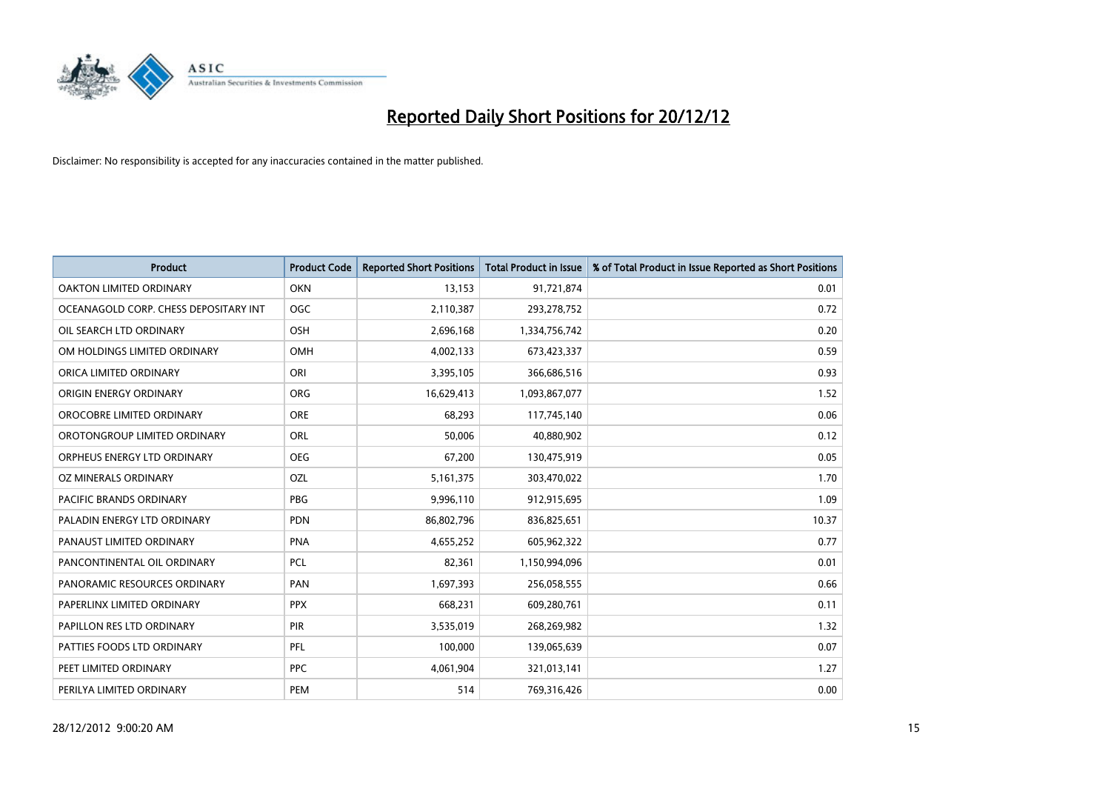

| <b>Product</b>                        | <b>Product Code</b> | <b>Reported Short Positions</b> | <b>Total Product in Issue</b> | % of Total Product in Issue Reported as Short Positions |
|---------------------------------------|---------------------|---------------------------------|-------------------------------|---------------------------------------------------------|
| <b>OAKTON LIMITED ORDINARY</b>        | <b>OKN</b>          | 13,153                          | 91,721,874                    | 0.01                                                    |
| OCEANAGOLD CORP. CHESS DEPOSITARY INT | <b>OGC</b>          | 2,110,387                       | 293,278,752                   | 0.72                                                    |
| OIL SEARCH LTD ORDINARY               | <b>OSH</b>          | 2,696,168                       | 1,334,756,742                 | 0.20                                                    |
| OM HOLDINGS LIMITED ORDINARY          | OMH                 | 4,002,133                       | 673,423,337                   | 0.59                                                    |
| ORICA LIMITED ORDINARY                | ORI                 | 3,395,105                       | 366,686,516                   | 0.93                                                    |
| ORIGIN ENERGY ORDINARY                | <b>ORG</b>          | 16,629,413                      | 1,093,867,077                 | 1.52                                                    |
| OROCOBRE LIMITED ORDINARY             | <b>ORE</b>          | 68,293                          | 117,745,140                   | 0.06                                                    |
| OROTONGROUP LIMITED ORDINARY          | ORL                 | 50,006                          | 40,880,902                    | 0.12                                                    |
| ORPHEUS ENERGY LTD ORDINARY           | <b>OEG</b>          | 67,200                          | 130,475,919                   | 0.05                                                    |
| OZ MINERALS ORDINARY                  | OZL                 | 5,161,375                       | 303,470,022                   | 1.70                                                    |
| PACIFIC BRANDS ORDINARY               | <b>PBG</b>          | 9,996,110                       | 912,915,695                   | 1.09                                                    |
| PALADIN ENERGY LTD ORDINARY           | <b>PDN</b>          | 86,802,796                      | 836,825,651                   | 10.37                                                   |
| PANAUST LIMITED ORDINARY              | <b>PNA</b>          | 4,655,252                       | 605,962,322                   | 0.77                                                    |
| PANCONTINENTAL OIL ORDINARY           | PCL                 | 82,361                          | 1,150,994,096                 | 0.01                                                    |
| PANORAMIC RESOURCES ORDINARY          | PAN                 | 1,697,393                       | 256,058,555                   | 0.66                                                    |
| PAPERLINX LIMITED ORDINARY            | <b>PPX</b>          | 668,231                         | 609,280,761                   | 0.11                                                    |
| PAPILLON RES LTD ORDINARY             | PIR                 | 3,535,019                       | 268,269,982                   | 1.32                                                    |
| PATTIES FOODS LTD ORDINARY            | PFL                 | 100,000                         | 139,065,639                   | 0.07                                                    |
| PEET LIMITED ORDINARY                 | <b>PPC</b>          | 4,061,904                       | 321,013,141                   | 1.27                                                    |
| PERILYA LIMITED ORDINARY              | PEM                 | 514                             | 769,316,426                   | 0.00                                                    |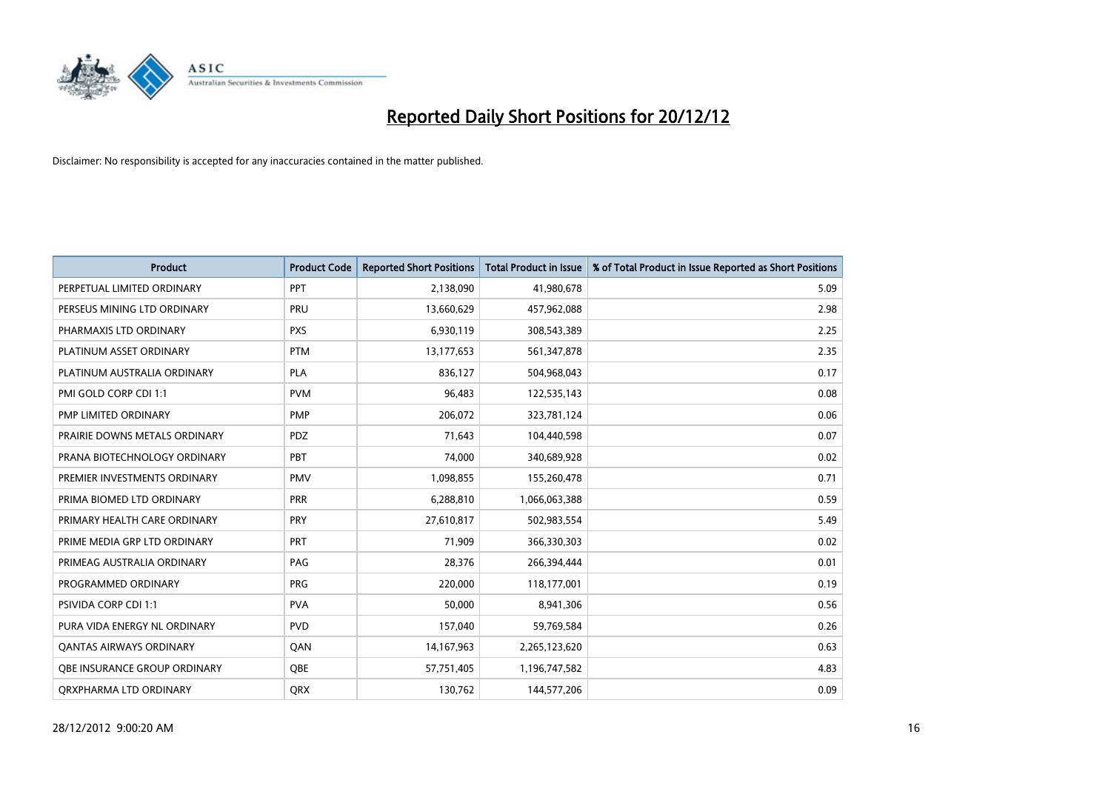

| <b>Product</b>                 | <b>Product Code</b> | <b>Reported Short Positions</b> | <b>Total Product in Issue</b> | % of Total Product in Issue Reported as Short Positions |
|--------------------------------|---------------------|---------------------------------|-------------------------------|---------------------------------------------------------|
| PERPETUAL LIMITED ORDINARY     | PPT                 | 2,138,090                       | 41,980,678                    | 5.09                                                    |
| PERSEUS MINING LTD ORDINARY    | PRU                 | 13,660,629                      | 457,962,088                   | 2.98                                                    |
| PHARMAXIS LTD ORDINARY         | <b>PXS</b>          | 6,930,119                       | 308,543,389                   | 2.25                                                    |
| PLATINUM ASSET ORDINARY        | <b>PTM</b>          | 13,177,653                      | 561,347,878                   | 2.35                                                    |
| PLATINUM AUSTRALIA ORDINARY    | <b>PLA</b>          | 836,127                         | 504,968,043                   | 0.17                                                    |
| PMI GOLD CORP CDI 1:1          | <b>PVM</b>          | 96,483                          | 122,535,143                   | 0.08                                                    |
| PMP LIMITED ORDINARY           | <b>PMP</b>          | 206,072                         | 323,781,124                   | 0.06                                                    |
| PRAIRIE DOWNS METALS ORDINARY  | <b>PDZ</b>          | 71,643                          | 104,440,598                   | 0.07                                                    |
| PRANA BIOTECHNOLOGY ORDINARY   | PBT                 | 74,000                          | 340,689,928                   | 0.02                                                    |
| PREMIER INVESTMENTS ORDINARY   | <b>PMV</b>          | 1,098,855                       | 155,260,478                   | 0.71                                                    |
| PRIMA BIOMED LTD ORDINARY      | <b>PRR</b>          | 6,288,810                       | 1,066,063,388                 | 0.59                                                    |
| PRIMARY HEALTH CARE ORDINARY   | PRY                 | 27,610,817                      | 502,983,554                   | 5.49                                                    |
| PRIME MEDIA GRP LTD ORDINARY   | PRT                 | 71,909                          | 366,330,303                   | 0.02                                                    |
| PRIMEAG AUSTRALIA ORDINARY     | PAG                 | 28,376                          | 266,394,444                   | 0.01                                                    |
| PROGRAMMED ORDINARY            | <b>PRG</b>          | 220,000                         | 118,177,001                   | 0.19                                                    |
| PSIVIDA CORP CDI 1:1           | <b>PVA</b>          | 50,000                          | 8,941,306                     | 0.56                                                    |
| PURA VIDA ENERGY NL ORDINARY   | <b>PVD</b>          | 157,040                         | 59,769,584                    | 0.26                                                    |
| <b>QANTAS AIRWAYS ORDINARY</b> | QAN                 | 14,167,963                      | 2,265,123,620                 | 0.63                                                    |
| OBE INSURANCE GROUP ORDINARY   | <b>OBE</b>          | 57,751,405                      | 1,196,747,582                 | 4.83                                                    |
| ORXPHARMA LTD ORDINARY         | <b>QRX</b>          | 130,762                         | 144,577,206                   | 0.09                                                    |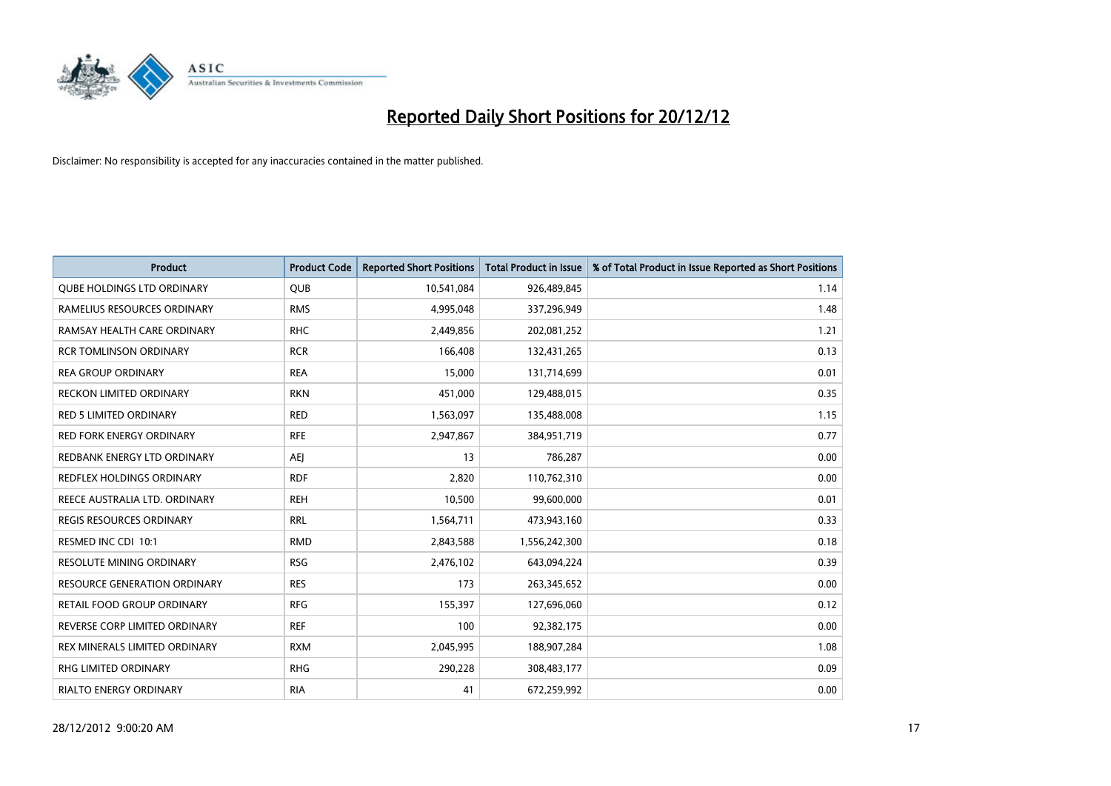

| <b>Product</b>                      | <b>Product Code</b> | <b>Reported Short Positions</b> | <b>Total Product in Issue</b> | % of Total Product in Issue Reported as Short Positions |
|-------------------------------------|---------------------|---------------------------------|-------------------------------|---------------------------------------------------------|
| <b>QUBE HOLDINGS LTD ORDINARY</b>   | QUB                 | 10,541,084                      | 926,489,845                   | 1.14                                                    |
| RAMELIUS RESOURCES ORDINARY         | <b>RMS</b>          | 4,995,048                       | 337,296,949                   | 1.48                                                    |
| RAMSAY HEALTH CARE ORDINARY         | <b>RHC</b>          | 2,449,856                       | 202,081,252                   | 1.21                                                    |
| <b>RCR TOMLINSON ORDINARY</b>       | <b>RCR</b>          | 166,408                         | 132,431,265                   | 0.13                                                    |
| <b>REA GROUP ORDINARY</b>           | <b>REA</b>          | 15,000                          | 131,714,699                   | 0.01                                                    |
| <b>RECKON LIMITED ORDINARY</b>      | <b>RKN</b>          | 451,000                         | 129,488,015                   | 0.35                                                    |
| <b>RED 5 LIMITED ORDINARY</b>       | <b>RED</b>          | 1,563,097                       | 135,488,008                   | 1.15                                                    |
| RED FORK ENERGY ORDINARY            | <b>RFE</b>          | 2,947,867                       | 384,951,719                   | 0.77                                                    |
| REDBANK ENERGY LTD ORDINARY         | AEI                 | 13                              | 786,287                       | 0.00                                                    |
| REDFLEX HOLDINGS ORDINARY           | <b>RDF</b>          | 2,820                           | 110,762,310                   | 0.00                                                    |
| REECE AUSTRALIA LTD. ORDINARY       | <b>REH</b>          | 10,500                          | 99,600,000                    | 0.01                                                    |
| <b>REGIS RESOURCES ORDINARY</b>     | <b>RRL</b>          | 1,564,711                       | 473,943,160                   | 0.33                                                    |
| RESMED INC CDI 10:1                 | <b>RMD</b>          | 2,843,588                       | 1,556,242,300                 | 0.18                                                    |
| <b>RESOLUTE MINING ORDINARY</b>     | <b>RSG</b>          | 2,476,102                       | 643,094,224                   | 0.39                                                    |
| <b>RESOURCE GENERATION ORDINARY</b> | <b>RES</b>          | 173                             | 263,345,652                   | 0.00                                                    |
| RETAIL FOOD GROUP ORDINARY          | <b>RFG</b>          | 155,397                         | 127,696,060                   | 0.12                                                    |
| REVERSE CORP LIMITED ORDINARY       | <b>REF</b>          | 100                             | 92,382,175                    | 0.00                                                    |
| REX MINERALS LIMITED ORDINARY       | <b>RXM</b>          | 2,045,995                       | 188,907,284                   | 1.08                                                    |
| <b>RHG LIMITED ORDINARY</b>         | <b>RHG</b>          | 290,228                         | 308,483,177                   | 0.09                                                    |
| <b>RIALTO ENERGY ORDINARY</b>       | <b>RIA</b>          | 41                              | 672.259.992                   | 0.00                                                    |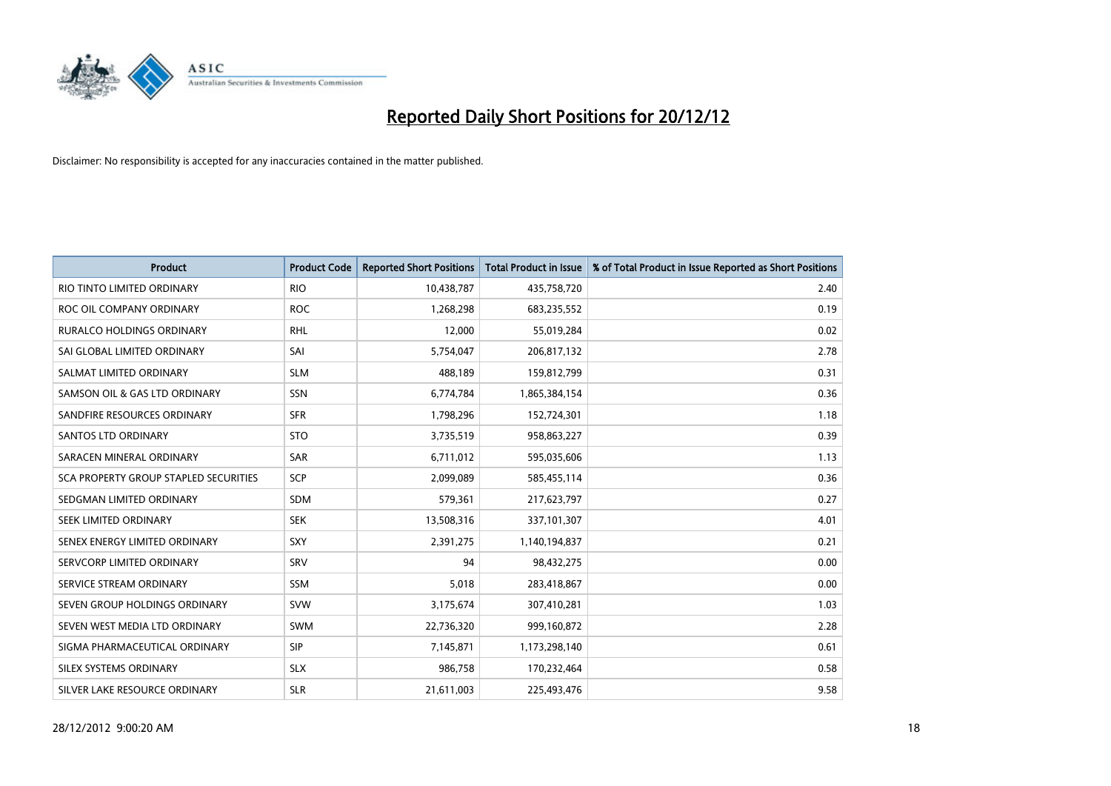

| <b>Product</b>                        | <b>Product Code</b> | <b>Reported Short Positions</b> | <b>Total Product in Issue</b> | % of Total Product in Issue Reported as Short Positions |
|---------------------------------------|---------------------|---------------------------------|-------------------------------|---------------------------------------------------------|
| RIO TINTO LIMITED ORDINARY            | <b>RIO</b>          | 10,438,787                      | 435,758,720                   | 2.40                                                    |
| ROC OIL COMPANY ORDINARY              | <b>ROC</b>          | 1,268,298                       | 683,235,552                   | 0.19                                                    |
| <b>RURALCO HOLDINGS ORDINARY</b>      | <b>RHL</b>          | 12,000                          | 55,019,284                    | 0.02                                                    |
| SAI GLOBAL LIMITED ORDINARY           | SAI                 | 5,754,047                       | 206,817,132                   | 2.78                                                    |
| SALMAT LIMITED ORDINARY               | <b>SLM</b>          | 488,189                         | 159,812,799                   | 0.31                                                    |
| SAMSON OIL & GAS LTD ORDINARY         | SSN                 | 6,774,784                       | 1,865,384,154                 | 0.36                                                    |
| SANDFIRE RESOURCES ORDINARY           | <b>SFR</b>          | 1,798,296                       | 152,724,301                   | 1.18                                                    |
| <b>SANTOS LTD ORDINARY</b>            | <b>STO</b>          | 3,735,519                       | 958,863,227                   | 0.39                                                    |
| SARACEN MINERAL ORDINARY              | SAR                 | 6,711,012                       | 595,035,606                   | 1.13                                                    |
| SCA PROPERTY GROUP STAPLED SECURITIES | <b>SCP</b>          | 2,099,089                       | 585,455,114                   | 0.36                                                    |
| SEDGMAN LIMITED ORDINARY              | <b>SDM</b>          | 579,361                         | 217,623,797                   | 0.27                                                    |
| <b>SEEK LIMITED ORDINARY</b>          | <b>SEK</b>          | 13,508,316                      | 337,101,307                   | 4.01                                                    |
| SENEX ENERGY LIMITED ORDINARY         | SXY                 | 2,391,275                       | 1,140,194,837                 | 0.21                                                    |
| SERVCORP LIMITED ORDINARY             | SRV                 | 94                              | 98,432,275                    | 0.00                                                    |
| SERVICE STREAM ORDINARY               | <b>SSM</b>          | 5,018                           | 283,418,867                   | 0.00                                                    |
| SEVEN GROUP HOLDINGS ORDINARY         | <b>SVW</b>          | 3,175,674                       | 307,410,281                   | 1.03                                                    |
| SEVEN WEST MEDIA LTD ORDINARY         | <b>SWM</b>          | 22,736,320                      | 999,160,872                   | 2.28                                                    |
| SIGMA PHARMACEUTICAL ORDINARY         | <b>SIP</b>          | 7,145,871                       | 1,173,298,140                 | 0.61                                                    |
| SILEX SYSTEMS ORDINARY                | <b>SLX</b>          | 986,758                         | 170,232,464                   | 0.58                                                    |
| SILVER LAKE RESOURCE ORDINARY         | <b>SLR</b>          | 21,611,003                      | 225,493,476                   | 9.58                                                    |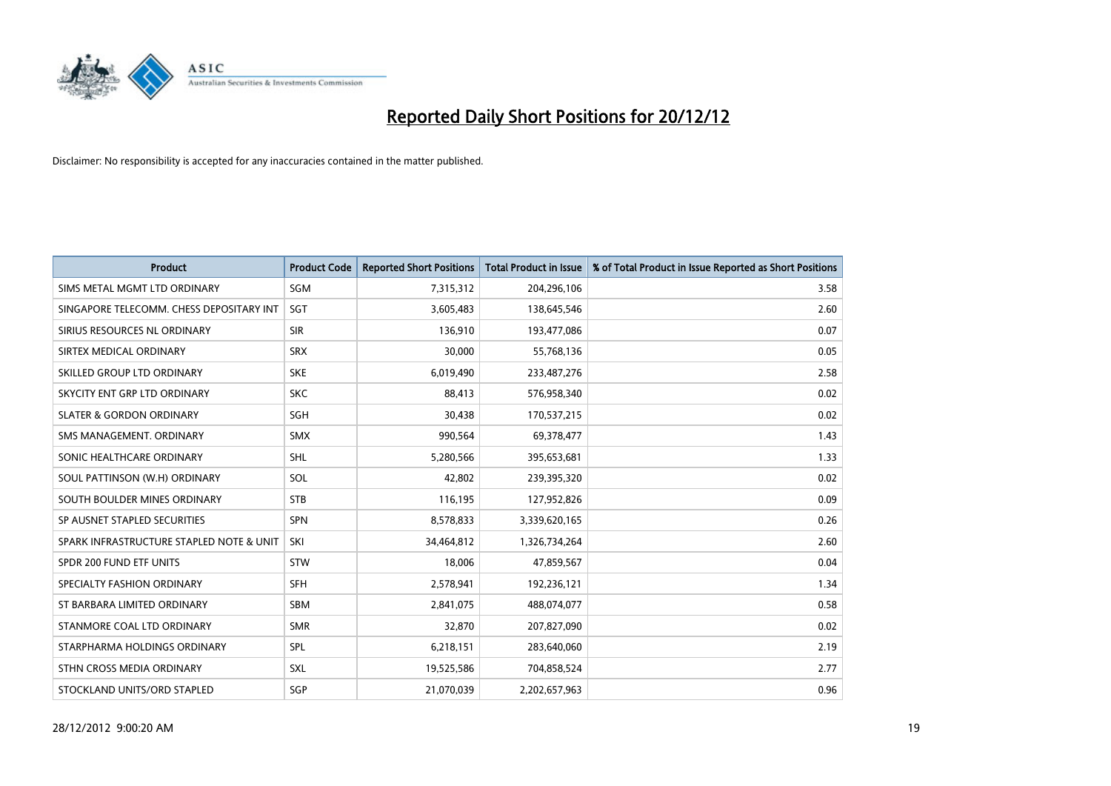

| <b>Product</b>                           | <b>Product Code</b> | <b>Reported Short Positions</b> | <b>Total Product in Issue</b> | % of Total Product in Issue Reported as Short Positions |
|------------------------------------------|---------------------|---------------------------------|-------------------------------|---------------------------------------------------------|
| SIMS METAL MGMT LTD ORDINARY             | SGM                 | 7,315,312                       | 204,296,106                   | 3.58                                                    |
| SINGAPORE TELECOMM. CHESS DEPOSITARY INT | <b>SGT</b>          | 3,605,483                       | 138,645,546                   | 2.60                                                    |
| SIRIUS RESOURCES NL ORDINARY             | <b>SIR</b>          | 136.910                         | 193,477,086                   | 0.07                                                    |
| SIRTEX MEDICAL ORDINARY                  | <b>SRX</b>          | 30,000                          | 55,768,136                    | 0.05                                                    |
| SKILLED GROUP LTD ORDINARY               | <b>SKE</b>          | 6,019,490                       | 233,487,276                   | 2.58                                                    |
| SKYCITY ENT GRP LTD ORDINARY             | <b>SKC</b>          | 88,413                          | 576,958,340                   | 0.02                                                    |
| <b>SLATER &amp; GORDON ORDINARY</b>      | <b>SGH</b>          | 30,438                          | 170,537,215                   | 0.02                                                    |
| SMS MANAGEMENT. ORDINARY                 | <b>SMX</b>          | 990,564                         | 69,378,477                    | 1.43                                                    |
| SONIC HEALTHCARE ORDINARY                | <b>SHL</b>          | 5,280,566                       | 395,653,681                   | 1.33                                                    |
| SOUL PATTINSON (W.H) ORDINARY            | SOL                 | 42,802                          | 239,395,320                   | 0.02                                                    |
| SOUTH BOULDER MINES ORDINARY             | <b>STB</b>          | 116,195                         | 127,952,826                   | 0.09                                                    |
| SP AUSNET STAPLED SECURITIES             | <b>SPN</b>          | 8,578,833                       | 3,339,620,165                 | 0.26                                                    |
| SPARK INFRASTRUCTURE STAPLED NOTE & UNIT | SKI                 | 34,464,812                      | 1,326,734,264                 | 2.60                                                    |
| SPDR 200 FUND ETF UNITS                  | <b>STW</b>          | 18,006                          | 47,859,567                    | 0.04                                                    |
| SPECIALTY FASHION ORDINARY               | <b>SFH</b>          | 2,578,941                       | 192,236,121                   | 1.34                                                    |
| ST BARBARA LIMITED ORDINARY              | <b>SBM</b>          | 2,841,075                       | 488,074,077                   | 0.58                                                    |
| STANMORE COAL LTD ORDINARY               | <b>SMR</b>          | 32,870                          | 207,827,090                   | 0.02                                                    |
| STARPHARMA HOLDINGS ORDINARY             | SPL                 | 6,218,151                       | 283,640,060                   | 2.19                                                    |
| STHN CROSS MEDIA ORDINARY                | <b>SXL</b>          | 19,525,586                      | 704,858,524                   | 2.77                                                    |
| STOCKLAND UNITS/ORD STAPLED              | SGP                 | 21,070,039                      | 2,202,657,963                 | 0.96                                                    |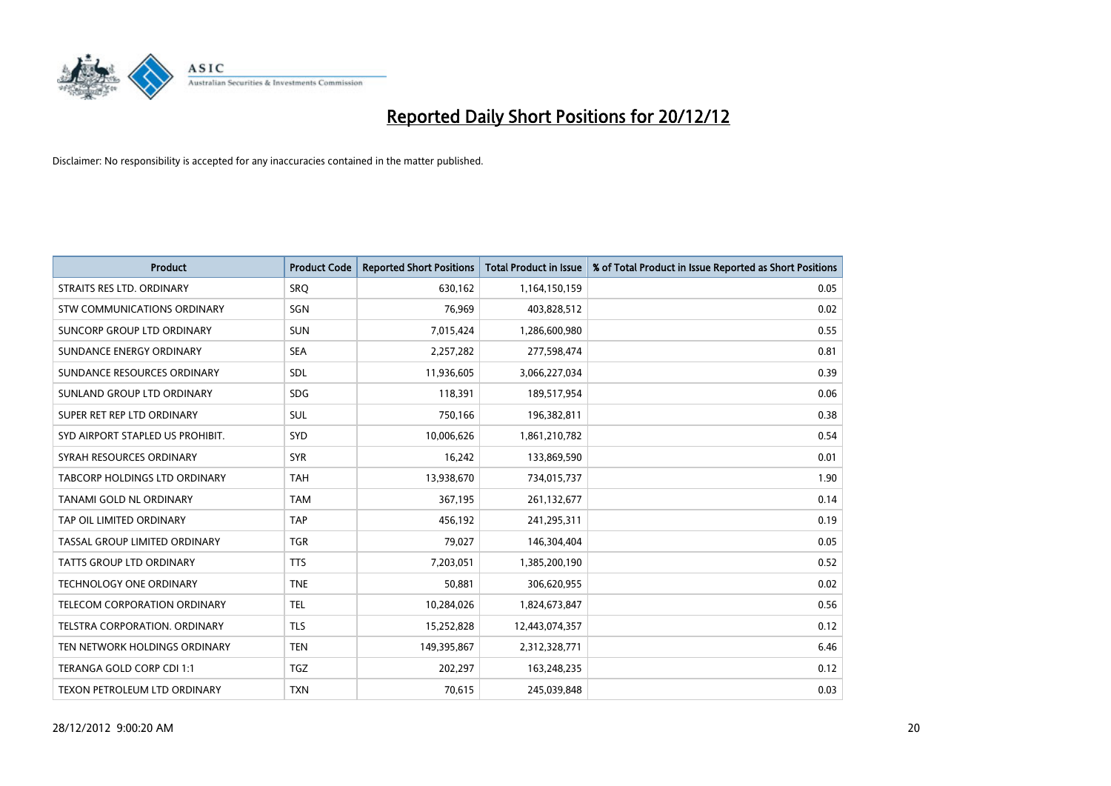

| <b>Product</b>                       | <b>Product Code</b> | <b>Reported Short Positions</b> | <b>Total Product in Issue</b> | % of Total Product in Issue Reported as Short Positions |
|--------------------------------------|---------------------|---------------------------------|-------------------------------|---------------------------------------------------------|
| STRAITS RES LTD. ORDINARY            | SRQ                 | 630,162                         | 1,164,150,159                 | 0.05                                                    |
| STW COMMUNICATIONS ORDINARY          | SGN                 | 76,969                          | 403,828,512                   | 0.02                                                    |
| SUNCORP GROUP LTD ORDINARY           | <b>SUN</b>          | 7,015,424                       | 1,286,600,980                 | 0.55                                                    |
| SUNDANCE ENERGY ORDINARY             | <b>SEA</b>          | 2,257,282                       | 277,598,474                   | 0.81                                                    |
| SUNDANCE RESOURCES ORDINARY          | <b>SDL</b>          | 11,936,605                      | 3,066,227,034                 | 0.39                                                    |
| SUNLAND GROUP LTD ORDINARY           | <b>SDG</b>          | 118,391                         | 189,517,954                   | 0.06                                                    |
| SUPER RET REP LTD ORDINARY           | <b>SUL</b>          | 750,166                         | 196,382,811                   | 0.38                                                    |
| SYD AIRPORT STAPLED US PROHIBIT.     | <b>SYD</b>          | 10,006,626                      | 1,861,210,782                 | 0.54                                                    |
| SYRAH RESOURCES ORDINARY             | <b>SYR</b>          | 16,242                          | 133,869,590                   | 0.01                                                    |
| <b>TABCORP HOLDINGS LTD ORDINARY</b> | <b>TAH</b>          | 13,938,670                      | 734,015,737                   | 1.90                                                    |
| TANAMI GOLD NL ORDINARY              | <b>TAM</b>          | 367,195                         | 261,132,677                   | 0.14                                                    |
| TAP OIL LIMITED ORDINARY             | <b>TAP</b>          | 456,192                         | 241,295,311                   | 0.19                                                    |
| TASSAL GROUP LIMITED ORDINARY        | <b>TGR</b>          | 79,027                          | 146,304,404                   | 0.05                                                    |
| <b>TATTS GROUP LTD ORDINARY</b>      | <b>TTS</b>          | 7,203,051                       | 1,385,200,190                 | 0.52                                                    |
| <b>TECHNOLOGY ONE ORDINARY</b>       | <b>TNE</b>          | 50,881                          | 306,620,955                   | 0.02                                                    |
| TELECOM CORPORATION ORDINARY         | <b>TEL</b>          | 10,284,026                      | 1,824,673,847                 | 0.56                                                    |
| TELSTRA CORPORATION. ORDINARY        | <b>TLS</b>          | 15,252,828                      | 12,443,074,357                | 0.12                                                    |
| TEN NETWORK HOLDINGS ORDINARY        | <b>TEN</b>          | 149,395,867                     | 2,312,328,771                 | 6.46                                                    |
| TERANGA GOLD CORP CDI 1:1            | <b>TGZ</b>          | 202,297                         | 163,248,235                   | 0.12                                                    |
| TEXON PETROLEUM LTD ORDINARY         | <b>TXN</b>          | 70,615                          | 245,039,848                   | 0.03                                                    |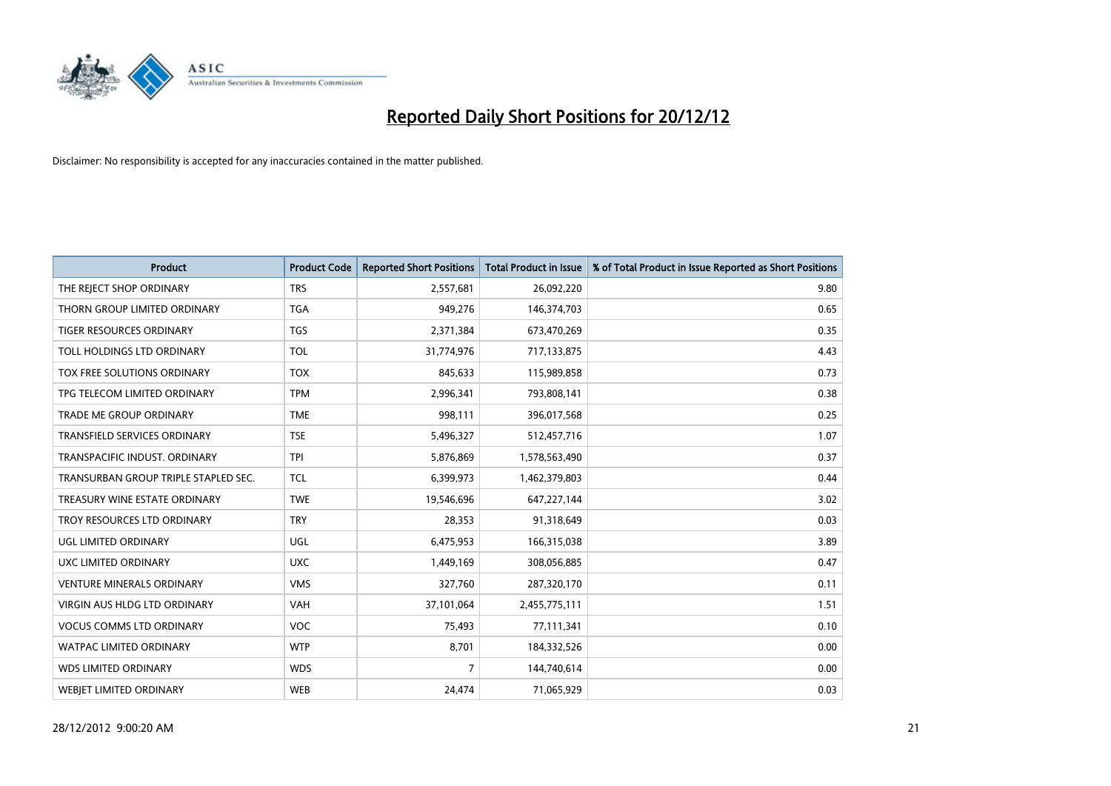

| <b>Product</b>                       | <b>Product Code</b> | <b>Reported Short Positions</b> | <b>Total Product in Issue</b> | % of Total Product in Issue Reported as Short Positions |
|--------------------------------------|---------------------|---------------------------------|-------------------------------|---------------------------------------------------------|
| THE REJECT SHOP ORDINARY             | <b>TRS</b>          | 2,557,681                       | 26,092,220                    | 9.80                                                    |
| THORN GROUP LIMITED ORDINARY         | <b>TGA</b>          | 949,276                         | 146,374,703                   | 0.65                                                    |
| <b>TIGER RESOURCES ORDINARY</b>      | <b>TGS</b>          | 2,371,384                       | 673,470,269                   | 0.35                                                    |
| TOLL HOLDINGS LTD ORDINARY           | TOL                 | 31,774,976                      | 717,133,875                   | 4.43                                                    |
| <b>TOX FREE SOLUTIONS ORDINARY</b>   | <b>TOX</b>          | 845,633                         | 115,989,858                   | 0.73                                                    |
| TPG TELECOM LIMITED ORDINARY         | <b>TPM</b>          | 2,996,341                       | 793,808,141                   | 0.38                                                    |
| <b>TRADE ME GROUP ORDINARY</b>       | <b>TME</b>          | 998,111                         | 396,017,568                   | 0.25                                                    |
| TRANSFIELD SERVICES ORDINARY         | <b>TSE</b>          | 5,496,327                       | 512,457,716                   | 1.07                                                    |
| TRANSPACIFIC INDUST, ORDINARY        | <b>TPI</b>          | 5,876,869                       | 1,578,563,490                 | 0.37                                                    |
| TRANSURBAN GROUP TRIPLE STAPLED SEC. | <b>TCL</b>          | 6,399,973                       | 1,462,379,803                 | 0.44                                                    |
| TREASURY WINE ESTATE ORDINARY        | <b>TWE</b>          | 19,546,696                      | 647,227,144                   | 3.02                                                    |
| TROY RESOURCES LTD ORDINARY          | <b>TRY</b>          | 28,353                          | 91,318,649                    | 0.03                                                    |
| <b>UGL LIMITED ORDINARY</b>          | UGL                 | 6,475,953                       | 166,315,038                   | 3.89                                                    |
| <b>UXC LIMITED ORDINARY</b>          | <b>UXC</b>          | 1,449,169                       | 308,056,885                   | 0.47                                                    |
| <b>VENTURE MINERALS ORDINARY</b>     | <b>VMS</b>          | 327,760                         | 287,320,170                   | 0.11                                                    |
| <b>VIRGIN AUS HLDG LTD ORDINARY</b>  | VAH                 | 37,101,064                      | 2,455,775,111                 | 1.51                                                    |
| <b>VOCUS COMMS LTD ORDINARY</b>      | <b>VOC</b>          | 75,493                          | 77,111,341                    | 0.10                                                    |
| <b>WATPAC LIMITED ORDINARY</b>       | <b>WTP</b>          | 8,701                           | 184,332,526                   | 0.00                                                    |
| <b>WDS LIMITED ORDINARY</b>          | <b>WDS</b>          | 7                               | 144,740,614                   | 0.00                                                    |
| <b>WEBIET LIMITED ORDINARY</b>       | <b>WEB</b>          | 24,474                          | 71,065,929                    | 0.03                                                    |